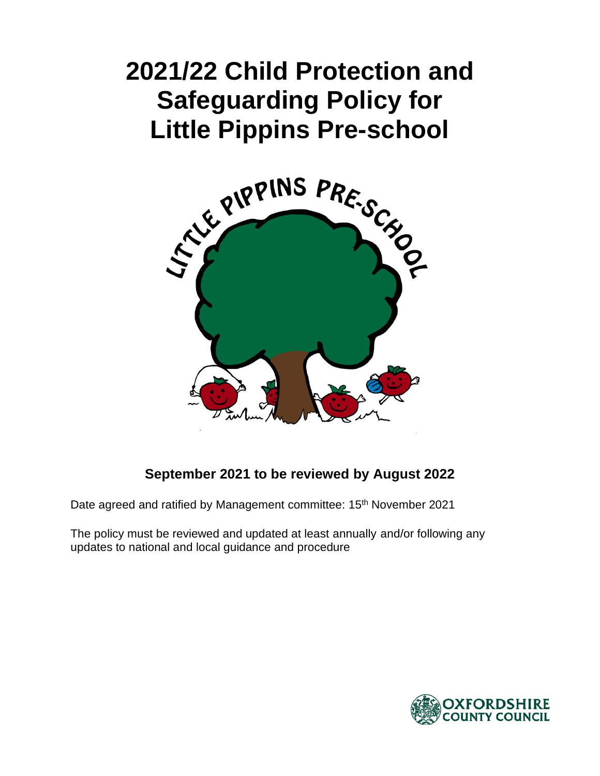# **2021/22 Child Protection and Safeguarding Policy for Little Pippins Pre-school**



# **September 2021 to be reviewed by August 2022**

Date agreed and ratified by Management committee: 15<sup>th</sup> November 2021

The policy must be reviewed and updated at least annually and/or following any updates to national and local guidance and procedure

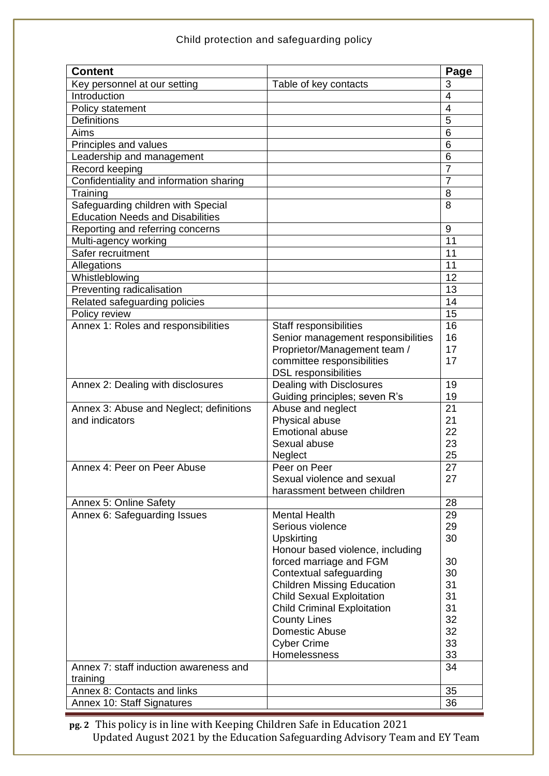| <b>Content</b>                          |                                          | Page           |
|-----------------------------------------|------------------------------------------|----------------|
| Key personnel at our setting            | Table of key contacts                    | 3              |
| Introduction                            |                                          | $\overline{4}$ |
| Policy statement                        |                                          | 4              |
| <b>Definitions</b>                      |                                          | 5              |
| Aims                                    |                                          | 6              |
| Principles and values                   |                                          | 6              |
| Leadership and management               |                                          | 6              |
| Record keeping                          |                                          | $\overline{7}$ |
| Confidentiality and information sharing |                                          | $\overline{7}$ |
| Training                                |                                          | 8              |
| Safeguarding children with Special      |                                          | 8              |
| <b>Education Needs and Disabilities</b> |                                          |                |
| Reporting and referring concerns        |                                          | 9              |
| Multi-agency working                    |                                          | 11             |
| Safer recruitment                       |                                          | 11             |
| Allegations                             |                                          | 11             |
| Whistleblowing                          |                                          | 12             |
| Preventing radicalisation               |                                          | 13             |
| Related safeguarding policies           |                                          | 14             |
| Policy review                           |                                          | 15             |
| Annex 1: Roles and responsibilities     | <b>Staff responsibilities</b>            | 16             |
|                                         | Senior management responsibilities       | 16             |
|                                         | Proprietor/Management team /             | 17             |
|                                         | committee responsibilities               | 17             |
|                                         | <b>DSL</b> responsibilities              |                |
| Annex 2: Dealing with disclosures       | Dealing with Disclosures                 | 19             |
|                                         | Guiding principles; seven R's            | 19             |
| Annex 3: Abuse and Neglect; definitions | Abuse and neglect                        | 21             |
| and indicators                          | Physical abuse                           | 21             |
|                                         | <b>Emotional abuse</b>                   | 22             |
|                                         | Sexual abuse                             | 23             |
|                                         | Neglect                                  | 25             |
| Annex 4: Peer on Peer Abuse             | Peer on Peer                             | 27             |
|                                         | Sexual violence and sexual               | 27             |
|                                         | harassment between children              |                |
| Annex 5: Online Safety                  |                                          | 28             |
| Annex 6: Safeguarding Issues            | <b>Mental Health</b><br>Serious violence | 29<br>29       |
|                                         | Upskirting                               | 30             |
|                                         | Honour based violence, including         |                |
|                                         | forced marriage and FGM                  | 30             |
|                                         | Contextual safeguarding                  | 30             |
|                                         | <b>Children Missing Education</b>        | 31             |
|                                         | <b>Child Sexual Exploitation</b>         | 31             |
|                                         | <b>Child Criminal Exploitation</b>       | 31             |
|                                         | <b>County Lines</b>                      | 32             |
|                                         | <b>Domestic Abuse</b>                    | 32             |
|                                         | <b>Cyber Crime</b>                       | 33             |
|                                         | Homelessness                             | 33             |
| Annex 7: staff induction awareness and  |                                          | 34             |
| training                                |                                          |                |
| Annex 8: Contacts and links             |                                          | 35             |
| Annex 10: Staff Signatures              |                                          | 36             |

**pg. 2** This policy is in line with Keeping Children Safe in Education 2021 Updated August 2021 by the Education Safeguarding Advisory Team and EY Team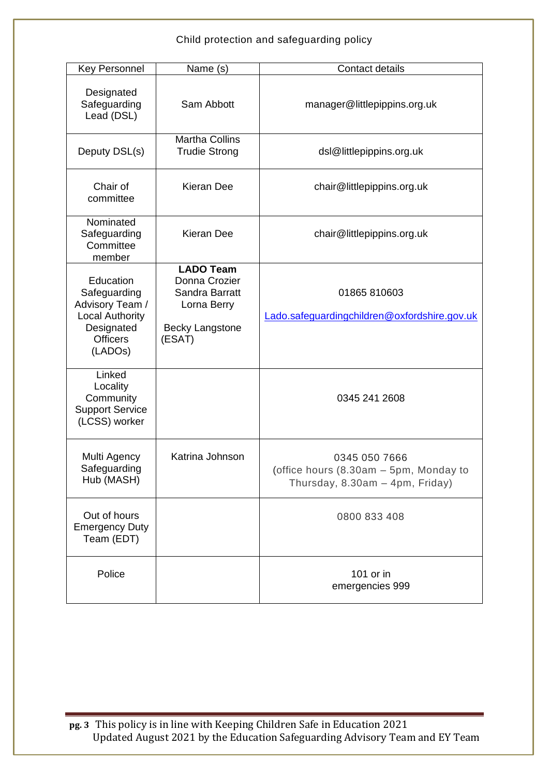| <b>Key Personnel</b>                                                                                                            | Name (s)                                                                                               | <b>Contact details</b>                                                                     |
|---------------------------------------------------------------------------------------------------------------------------------|--------------------------------------------------------------------------------------------------------|--------------------------------------------------------------------------------------------|
| Designated<br>Safeguarding<br>Lead (DSL)                                                                                        | Sam Abbott                                                                                             | manager@littlepippins.org.uk                                                               |
| Deputy DSL(s)                                                                                                                   | <b>Martha Collins</b><br><b>Trudie Strong</b>                                                          | dsl@littlepippins.org.uk                                                                   |
| Chair of<br>committee                                                                                                           | Kieran Dee                                                                                             | chair@littlepippins.org.uk                                                                 |
| Nominated<br>Safeguarding<br>Committee<br>member                                                                                | Kieran Dee                                                                                             | chair@littlepippins.org.uk                                                                 |
| Education<br>Safeguarding<br>Advisory Team /<br><b>Local Authority</b><br>Designated<br><b>Officers</b><br>(LADO <sub>s</sub> ) | <b>LADO Team</b><br>Donna Crozier<br>Sandra Barratt<br>Lorna Berry<br><b>Becky Langstone</b><br>(ESAT) | 01865 810603<br>Lado.safeguardingchildren@oxfordshire.gov.uk                               |
| Linked<br>Locality<br>Community<br><b>Support Service</b><br>(LCSS) worker                                                      |                                                                                                        | 0345 241 2608                                                                              |
| Multi Agency<br>Safeguarding<br>Hub (MASH)                                                                                      | Katrina Johnson                                                                                        | 0345 050 7666<br>(office hours (8.30am – 5pm, Monday to<br>Thursday, 8.30am - 4pm, Friday) |
| Out of hours<br><b>Emergency Duty</b><br>Team (EDT)                                                                             |                                                                                                        | 0800 833 408                                                                               |
| Police                                                                                                                          |                                                                                                        | 101 or in<br>emergencies 999                                                               |

**pg. 3** This policy is in line with Keeping Children Safe in Education 2021 Updated August 2021 by the Education Safeguarding Advisory Team and EY Team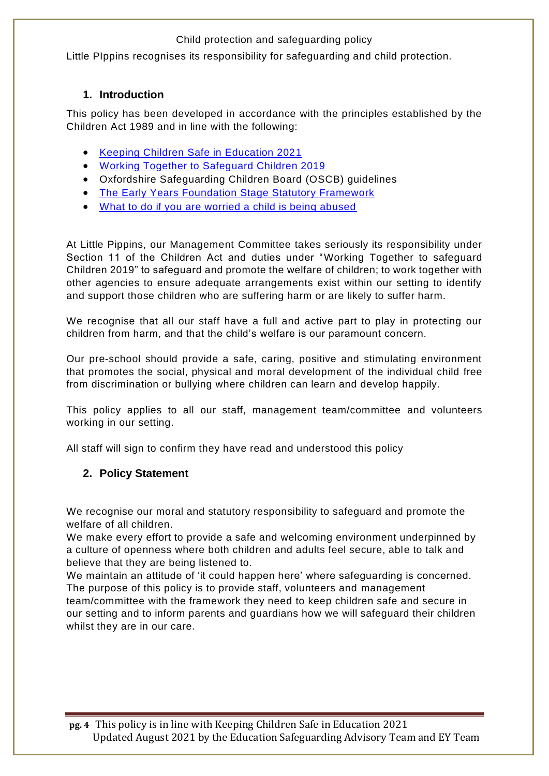Little PIppins recognises its responsibility for safeguarding and child protection.

# **1. Introduction**

This policy has been developed in accordance with the principles established by the Children Act 1989 and in line with the following:

- [Keeping Children Safe in Education 2021](https://www.gov.uk/government/publications/keeping-children-safe-in-education--2)
- [Working Together to Safeguard Children 2019](https://www.gov.uk/government/publications/working-together-to-safeguard-children--2)
- Oxfordshire Safeguarding Children Board (OSCB) guidelines
- [The Early Years Foundation Stage Statutory Framework](https://www.gov.uk/government/publications/early-years-foundation-stage-framework--2)
- [What to do if you are worried a child is being abused](https://www.gov.uk/government/publications/what-to-do-if-youre-worried-a-child-is-being-abused--2)

At Little Pippins, our Management Committee takes seriously its responsibility under Section 11 of the Children Act and duties under "Working Together to safeguard Children 2019" to safeguard and promote the welfare of children; to work together with other agencies to ensure adequate arrangements exist within our setting to identify and support those children who are suffering harm or are likely to suffer harm.

We recognise that all our staff have a full and active part to play in protecting our children from harm, and that the child's welfare is our paramount concern.

Our pre-school should provide a safe, caring, positive and stimulating environment that promotes the social, physical and moral development of the individual child free from discrimination or bullying where children can learn and develop happily.

This policy applies to all our staff, management team/committee and volunteers working in our setting.

All staff will sign to confirm they have read and understood this policy

# **2. Policy Statement**

We recognise our moral and statutory responsibility to safeguard and promote the welfare of all children.

We make every effort to provide a safe and welcoming environment underpinned by a culture of openness where both children and adults feel secure, able to talk and believe that they are being listened to.

We maintain an attitude of 'it could happen here' where safeguarding is concerned. The purpose of this policy is to provide staff, volunteers and management team/committee with the framework they need to keep children safe and secure in our setting and to inform parents and guardians how we will safeguard their children whilst they are in our care.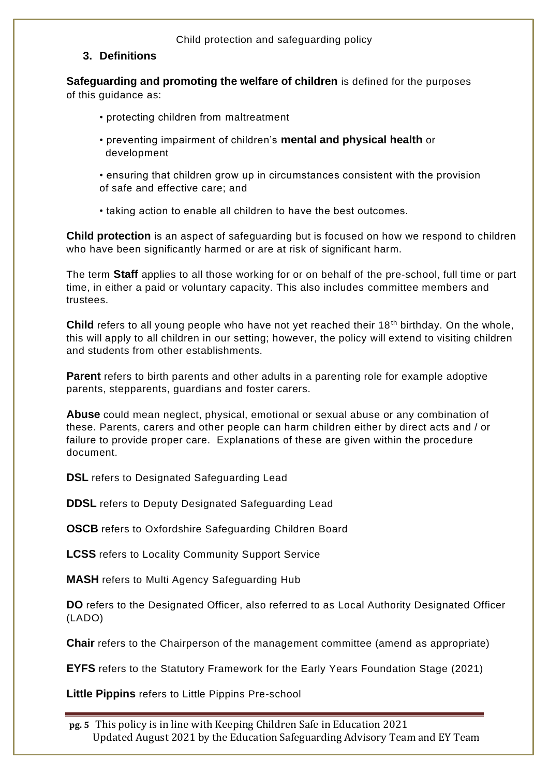## **3. Definitions**

**Safeguarding and promoting the welfare of children** is defined for the purposes of this guidance as:

- protecting children from maltreatment
- preventing impairment of children's **mental and physical health** or development
- ensuring that children grow up in circumstances consistent with the provision of safe and effective care; and
- taking action to enable all children to have the best outcomes.

**Child protection** is an aspect of safeguarding but is focused on how we respond to children who have been significantly harmed or are at risk of significant harm.

The term **Staff** applies to all those working for or on behalf of the pre-school, full time or part time, in either a paid or voluntary capacity. This also includes committee members and trustees.

**Child** refers to all young people who have not yet reached their 18<sup>th</sup> birthday. On the whole, this will apply to all children in our setting; however, the policy will extend to visiting children and students from other establishments.

**Parent** refers to birth parents and other adults in a parenting role for example adoptive parents, stepparents, guardians and foster carers.

**Abuse** could mean neglect, physical, emotional or sexual abuse or any combination of these. Parents, carers and other people can harm children either by direct acts and / or failure to provide proper care. Explanations of these are given within the procedure document.

**DSL** refers to Designated Safeguarding Lead

**DDSL** refers to Deputy Designated Safeguarding Lead

**OSCB** refers to Oxfordshire Safeguarding Children Board

**LCSS** refers to Locality Community Support Service

**MASH** refers to Multi Agency Safeguarding Hub

**DO** refers to the Designated Officer, also referred to as Local Authority Designated Officer (LADO)

**Chair** refers to the Chairperson of the management committee (amend as appropriate)

**EYFS** refers to the Statutory Framework for the Early Years Foundation Stage (2021)

**Little Pippins** refers to Little Pippins Pre-school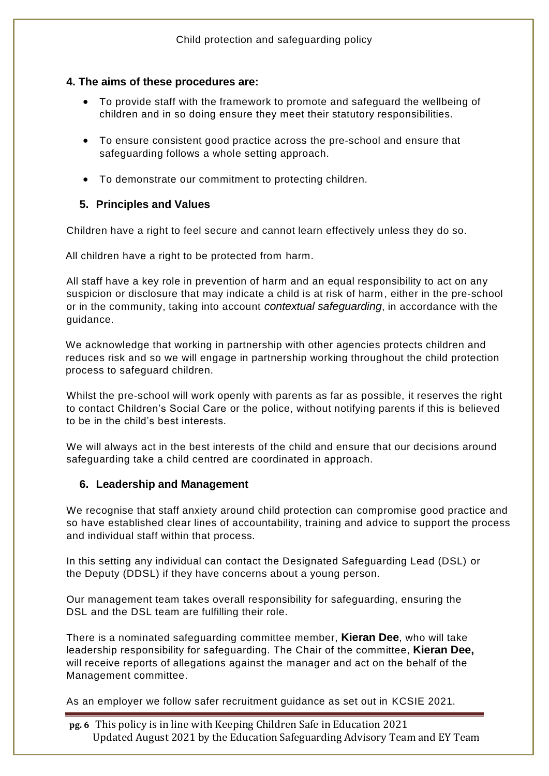## **4. The aims of these procedures are:**

- To provide staff with the framework to promote and safeguard the wellbeing of children and in so doing ensure they meet their statutory responsibilities.
- To ensure consistent good practice across the pre-school and ensure that safeguarding follows a whole setting approach.
- To demonstrate our commitment to protecting children.

# **5. Principles and Values**

Children have a right to feel secure and cannot learn effectively unless they do so.

All children have a right to be protected from harm.

All staff have a key role in prevention of harm and an equal responsibility to act on any suspicion or disclosure that may indicate a child is at risk of harm, either in the pre-school or in the community, taking into account *contextual safeguarding*, in accordance with the guidance.

We acknowledge that working in partnership with other agencies protects children and reduces risk and so we will engage in partnership working throughout the child protection process to safeguard children.

Whilst the pre-school will work openly with parents as far as possible, it reserves the right to contact Children's Social Care or the police, without notifying parents if this is believed to be in the child's best interests.

We will always act in the best interests of the child and ensure that our decisions around safeguarding take a child centred are coordinated in approach.

# **6. Leadership and Management**

We recognise that staff anxiety around child protection can compromise good practice and so have established clear lines of accountability, training and advice to support the process and individual staff within that process.

In this setting any individual can contact the Designated Safeguarding Lead (DSL) or the Deputy (DDSL) if they have concerns about a young person.

Our management team takes overall responsibility for safeguarding, ensuring the DSL and the DSL team are fulfilling their role.

There is a nominated safeguarding committee member, **Kieran Dee**, who will take leadership responsibility for safeguarding. The Chair of the committee, **Kieran Dee,** will receive reports of allegations against the manager and act on the behalf of the Management committee.

As an employer we follow safer recruitment guidance as set out in KCSIE 2021.

**pg. 6** This policy is in line with Keeping Children Safe in Education 2021 Updated August 2021 by the Education Safeguarding Advisory Team and EY Team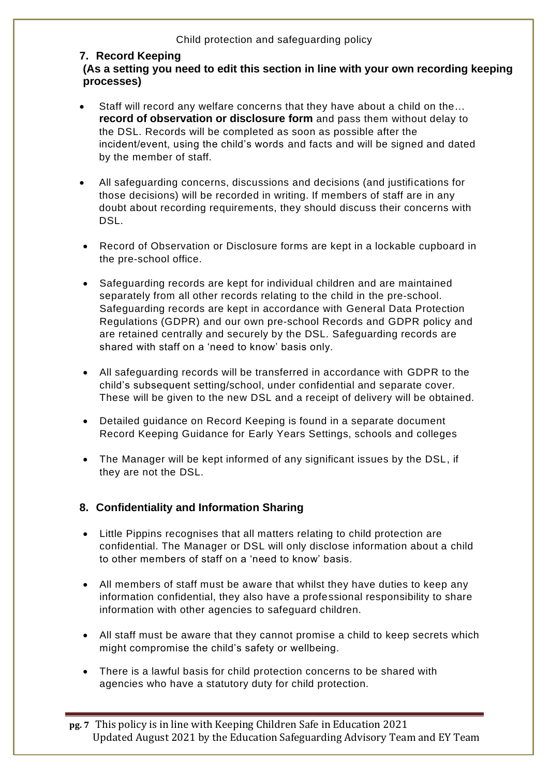## **7. Record Keeping**

**(As a setting you need to edit this section in line with your own recording keeping processes)**

- Staff will record any welfare concerns that they have about a child on the... **record of observation or disclosure form** and pass them without delay to the DSL. Records will be completed as soon as possible after the incident/event, using the child's words and facts and will be signed and dated by the member of staff.
- All safeguarding concerns, discussions and decisions (and justifications for those decisions) will be recorded in writing. If members of staff are in any doubt about recording requirements, they should discuss their concerns with DSL.
- Record of Observation or Disclosure forms are kept in a lockable cupboard in the pre-school office.
- Safeguarding records are kept for individual children and are maintained separately from all other records relating to the child in the pre-school. Safeguarding records are kept in accordance with General Data Protection Regulations (GDPR) and our own pre-school Records and GDPR policy and are retained centrally and securely by the DSL. Safeguarding records are shared with staff on a 'need to know' basis only.
- All safeguarding records will be transferred in accordance with GDPR to the child's subsequent setting/school, under confidential and separate cover. These will be given to the new DSL and a receipt of delivery will be obtained.
- Detailed guidance on Record Keeping is found in a separate document Record Keeping Guidance for Early Years Settings, schools and colleges
- The Manager will be kept informed of any significant issues by the DSL, if they are not the DSL.

# **8. Confidentiality and Information Sharing**

- Little Pippins recognises that all matters relating to child protection are confidential. The Manager or DSL will only disclose information about a child to other members of staff on a 'need to know' basis.
- All members of staff must be aware that whilst they have duties to keep any information confidential, they also have a professional responsibility to share information with other agencies to safeguard children.
- All staff must be aware that they cannot promise a child to keep secrets which might compromise the child's safety or wellbeing.
- There is a lawful basis for child protection concerns to be shared with agencies who have a statutory duty for child protection.

**pg. 7** This policy is in line with Keeping Children Safe in Education 2021 Updated August 2021 by the Education Safeguarding Advisory Team and EY Team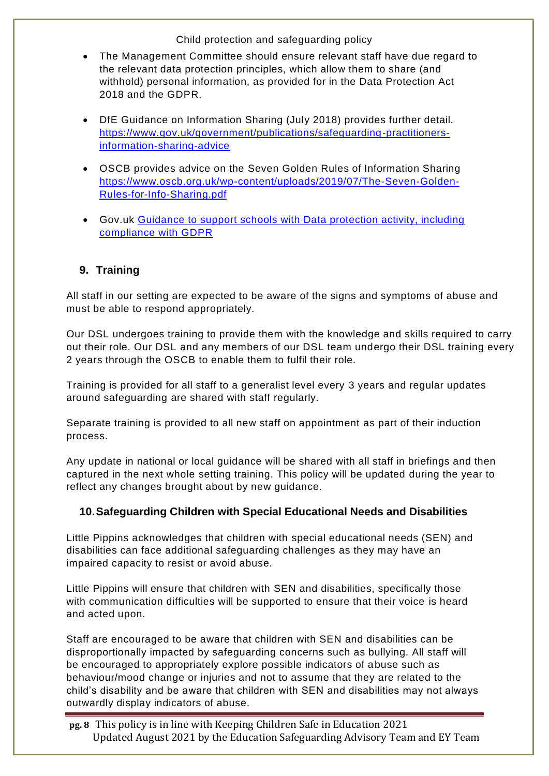- The Management Committee should ensure relevant staff have due regard to the relevant data protection principles, which allow them to share (and withhold) personal information, as provided for in the Data Protection Act 2018 and the GDPR.
- DfE Guidance on Information Sharing (July 2018) provides further detail. [https://www.gov.uk/government/publications/safeguarding-practitioners](https://www.gov.uk/government/publications/safeguarding-practitioners-information-sharing-advice)[information-sharing-advice](https://www.gov.uk/government/publications/safeguarding-practitioners-information-sharing-advice)
- OSCB provides advice on the Seven Golden Rules of Information Sharing [https://www.oscb.org.uk/wp-content/uploads/2019/07/The-Seven-Golden-](https://www.oscb.org.uk/wp-content/uploads/2019/07/The-Seven-Golden-Rules-for-Info-Sharing.pdf)[Rules-for-Info-Sharing.pdf](https://www.oscb.org.uk/wp-content/uploads/2019/07/The-Seven-Golden-Rules-for-Info-Sharing.pdf)
- Gov.uk [Guidance to support schools with Data protection activity, including](https://www.gov.uk/government/publications/data-protection-toolkit-for-schools)  [compliance with GDPR](https://www.gov.uk/government/publications/data-protection-toolkit-for-schools)

# **9. Training**

All staff in our setting are expected to be aware of the signs and symptoms of abuse and must be able to respond appropriately.

Our DSL undergoes training to provide them with the knowledge and skills required to carry out their role. Our DSL and any members of our DSL team undergo their DSL training every 2 years through the OSCB to enable them to fulfil their role.

Training is provided for all staff to a generalist level every 3 years and regular updates around safeguarding are shared with staff regularly.

Separate training is provided to all new staff on appointment as part of their induction process.

Any update in national or local guidance will be shared with all staff in briefings and then captured in the next whole setting training. This policy will be updated during the year to reflect any changes brought about by new guidance.

# **10.Safeguarding Children with Special Educational Needs and Disabilities**

Little Pippins acknowledges that children with special educational needs (SEN) and disabilities can face additional safeguarding challenges as they may have an impaired capacity to resist or avoid abuse.

Little Pippins will ensure that children with SEN and disabilities, specifically those with communication difficulties will be supported to ensure that their voice is heard and acted upon.

Staff are encouraged to be aware that children with SEN and disabilities can be disproportionally impacted by safeguarding concerns such as bullying. All staff will be encouraged to appropriately explore possible indicators of abuse such as behaviour/mood change or injuries and not to assume that they are related to the child's disability and be aware that children with SEN and disabilities may not always outwardly display indicators of abuse.

## **pg. 8** This policy is in line with Keeping Children Safe in Education 2021 Updated August 2021 by the Education Safeguarding Advisory Team and EY Team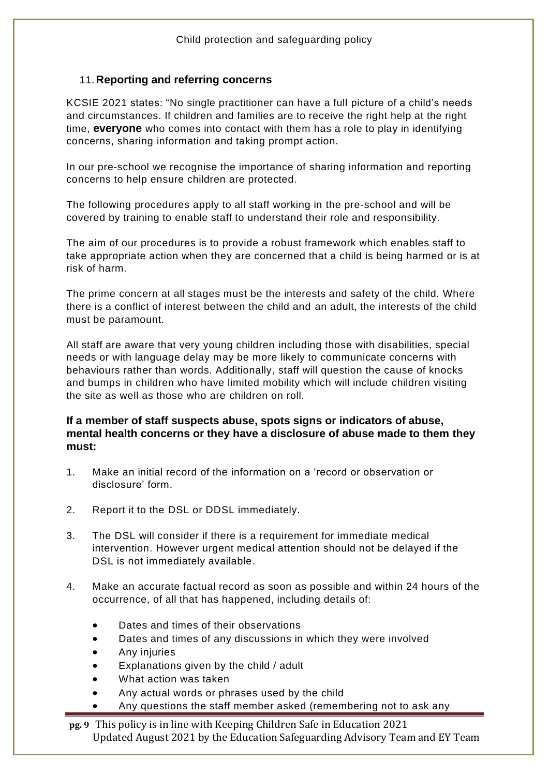## 11. **Reporting and referring concerns**

KCSIE 2021 states: "No single practitioner can have a full picture of a child's needs and circumstances. If children and families are to receive the right help at the right time, **everyone** who comes into contact with them has a role to play in identifying concerns, sharing information and taking prompt action.

In our pre-school we recognise the importance of sharing information and reporting concerns to help ensure children are protected.

The following procedures apply to all staff working in the pre-school and will be covered by training to enable staff to understand their role and responsibility.

The aim of our procedures is to provide a robust framework which enables staff to take appropriate action when they are concerned that a child is being harmed or is at risk of harm.

The prime concern at all stages must be the interests and safety of the child. Where there is a conflict of interest between the child and an adult, the interests of the child must be paramount.

All staff are aware that very young children including those with disabilities, special needs or with language delay may be more likely to communicate concerns with behaviours rather than words. Additionally, staff will question the cause of knocks and bumps in children who have limited mobility which will include children visiting the site as well as those who are children on roll.

#### **If a member of staff suspects abuse, spots signs or indicators of abuse, mental health concerns or they have a disclosure of abuse made to them they must:**

- 1. Make an initial record of the information on a 'record or observation or disclosure' form.
- 2. Report it to the DSL or DDSL immediately.
- 3. The DSL will consider if there is a requirement for immediate medical intervention. However urgent medical attention should not be delayed if the DSL is not immediately available.
- 4. Make an accurate factual record as soon as possible and within 24 hours of the occurrence, of all that has happened, including details of:
	- Dates and times of their observations
	- Dates and times of any discussions in which they were involved
	- Any injuries
	- Explanations given by the child / adult
	- What action was taken
	- Any actual words or phrases used by the child
	- Any questions the staff member asked (remembering not to ask any
- **pg. 9** This policy is in line with Keeping Children Safe in Education 2021 Updated August 2021 by the Education Safeguarding Advisory Team and EY Team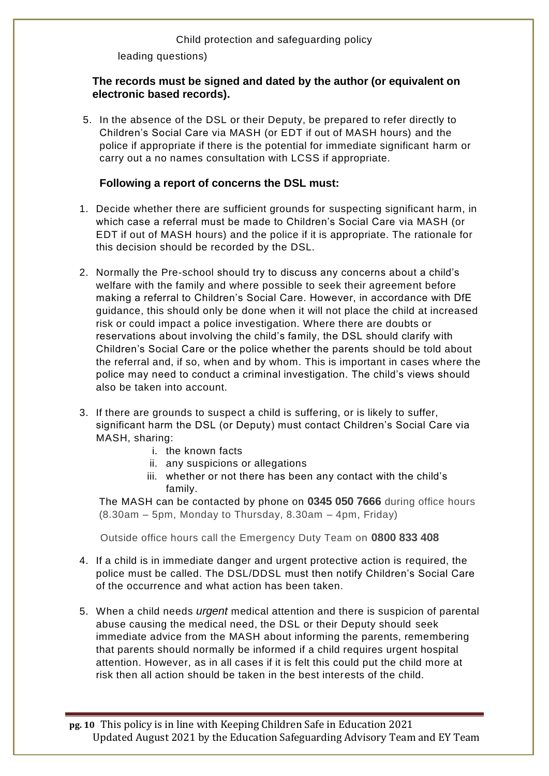leading questions)

#### **The records must be signed and dated by the author (or equivalent on electronic based records).**

5. In the absence of the DSL or their Deputy, be prepared to refer directly to Children's Social Care via MASH (or EDT if out of MASH hours) and the police if appropriate if there is the potential for immediate significant harm or carry out a no names consultation with LCSS if appropriate.

#### **Following a report of concerns the DSL must:**

- 1. Decide whether there are sufficient grounds for suspecting significant harm, in which case a referral must be made to Children's Social Care via MASH (or EDT if out of MASH hours) and the police if it is appropriate. The rationale for this decision should be recorded by the DSL.
- 2. Normally the Pre-school should try to discuss any concerns about a child's welfare with the family and where possible to seek their agreement before making a referral to Children's Social Care. However, in accordance with DfE guidance, this should only be done when it will not place the child at increased risk or could impact a police investigation. Where there are doubts or reservations about involving the child's family, the DSL should clarify with Children's Social Care or the police whether the parents should be told about the referral and, if so, when and by whom. This is important in cases where the police may need to conduct a criminal investigation. The child's views should also be taken into account.
- 3. If there are grounds to suspect a child is suffering, or is likely to suffer, significant harm the DSL (or Deputy) must contact Children's Social Care via MASH, sharing:
	- i. the known facts
	- ii. any suspicions or allegations
	- iii. whether or not there has been any contact with the child's family.

The MASH can be contacted by phone on **0345 050 7666** during office hours (8.30am – 5pm, Monday to Thursday, 8.30am – 4pm, Friday)

Outside office hours call the Emergency Duty Team on **0800 833 408**

- 4. If a child is in immediate danger and urgent protective action is required, the police must be called. The DSL/DDSL must then notify Children's Social Care of the occurrence and what action has been taken.
- 5. When a child needs *urgent* medical attention and there is suspicion of parental abuse causing the medical need, the DSL or their Deputy should seek immediate advice from the MASH about informing the parents, remembering that parents should normally be informed if a child requires urgent hospital attention. However, as in all cases if it is felt this could put the child more at risk then all action should be taken in the best interests of the child.

**pg. 10** This policy is in line with Keeping Children Safe in Education 2021 Updated August 2021 by the Education Safeguarding Advisory Team and EY Team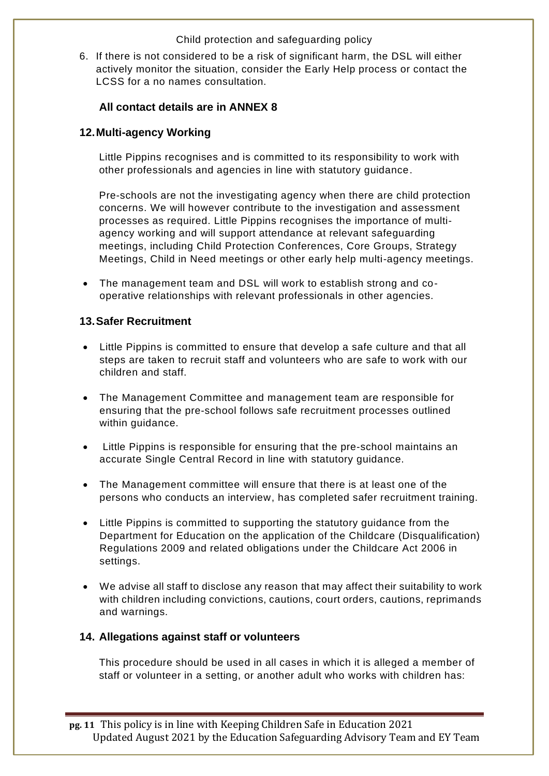6. If there is not considered to be a risk of significant harm, the DSL will either actively monitor the situation, consider the Early Help process or contact the LCSS for a no names consultation.

# **All contact details are in ANNEX 8**

# **12.Multi-agency Working**

Little Pippins recognises and is committed to its responsibility to work with other professionals and agencies in line with statutory guidance.

Pre-schools are not the investigating agency when there are child protection concerns. We will however contribute to the investigation and assessment processes as required. Little Pippins recognises the importance of multiagency working and will support attendance at relevant safeguarding meetings, including Child Protection Conferences, Core Groups, Strategy Meetings, Child in Need meetings or other early help multi-agency meetings.

• The management team and DSL will work to establish strong and cooperative relationships with relevant professionals in other agencies.

# **13.Safer Recruitment**

- Little Pippins is committed to ensure that develop a safe culture and that all steps are taken to recruit staff and volunteers who are safe to work with our children and staff.
- The Management Committee and management team are responsible for ensuring that the pre-school follows safe recruitment processes outlined within guidance.
- Little Pippins is responsible for ensuring that the pre-school maintains an accurate Single Central Record in line with statutory guidance.
- The Management committee will ensure that there is at least one of the persons who conducts an interview, has completed safer recruitment training.
- Little Pippins is committed to supporting the statutory guidance from the Department for Education on the application of the Childcare (Disqualification) Regulations 2009 and related obligations under the Childcare Act 2006 in settings.
- We advise all staff to disclose any reason that may affect their suitability to work with children including convictions, cautions, court orders, cautions, reprimands and warnings.

# **14. Allegations against staff or volunteers**

This procedure should be used in all cases in which it is alleged a member of staff or volunteer in a setting, or another adult who works with children has: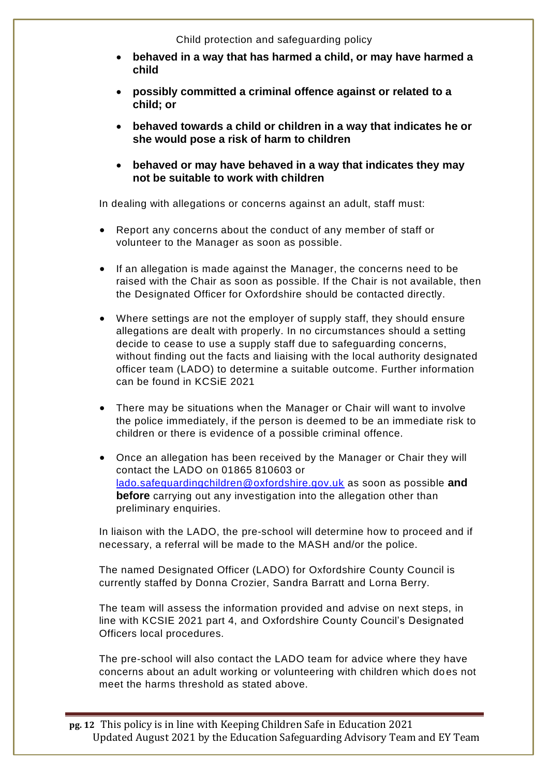- **behaved in a way that has harmed a child, or may have harmed a child**
- **possibly committed a criminal offence against or related to a child; or**
- **behaved towards a child or children in a way that indicates he or she would pose a risk of harm to children**
- **behaved or may have behaved in a way that indicates they may not be suitable to work with children**

In dealing with allegations or concerns against an adult, staff must:

- Report any concerns about the conduct of any member of staff or volunteer to the Manager as soon as possible.
- If an allegation is made against the Manager, the concerns need to be raised with the Chair as soon as possible. If the Chair is not available, then the Designated Officer for Oxfordshire should be contacted directly.
- Where settings are not the employer of supply staff, they should ensure allegations are dealt with properly. In no circumstances should a setting decide to cease to use a supply staff due to safeguarding concerns, without finding out the facts and liaising with the local authority designated officer team (LADO) to determine a suitable outcome. Further information can be found in KCSiE 2021
- There may be situations when the Manager or Chair will want to involve the police immediately, if the person is deemed to be an immediate risk to children or there is evidence of a possible criminal offence.
- Once an allegation has been received by the Manager or Chair they will contact the LADO on 01865 810603 or [lado.safeguardingchildren@oxfordshire.gov.uk](mailto:lado.safeguardingchildren@oxfordshire.gov.uk) as soon as possible **and before** carrying out any investigation into the allegation other than preliminary enquiries.

In liaison with the LADO, the pre-school will determine how to proceed and if necessary, a referral will be made to the MASH and/or the police.

The named Designated Officer (LADO) for Oxfordshire County Council is currently staffed by Donna Crozier, Sandra Barratt and Lorna Berry.

The team will assess the information provided and advise on next steps, in line with KCSIE 2021 part 4, and Oxfordshire County Council's Designated Officers local procedures.

The pre-school will also contact the LADO team for advice where they have concerns about an adult working or volunteering with children which does not meet the harms threshold as stated above.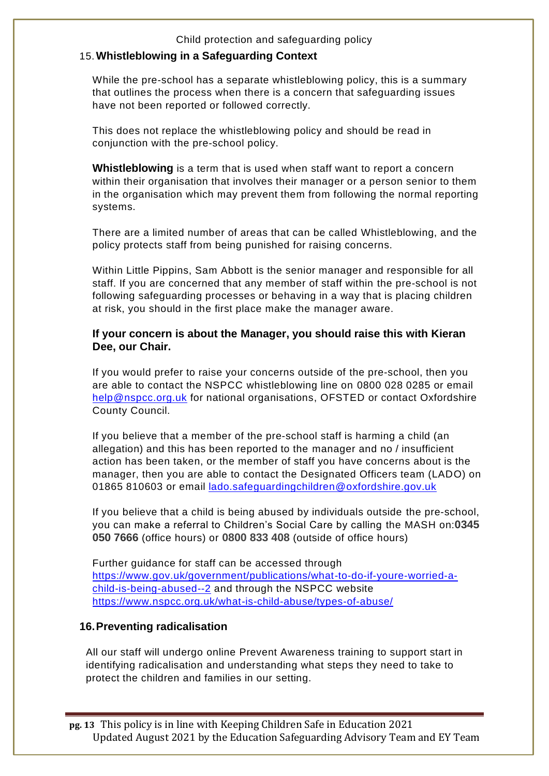#### 15.**Whistleblowing in a Safeguarding Context**

While the pre-school has a separate whistleblowing policy, this is a summary that outlines the process when there is a concern that safeguarding issues have not been reported or followed correctly.

This does not replace the whistleblowing policy and should be read in conjunction with the pre-school policy.

**Whistleblowing** is a term that is used when staff want to report a concern within their organisation that involves their manager or a person senior to them in the organisation which may prevent them from following the normal reporting systems.

There are a limited number of areas that can be called Whistleblowing, and the policy protects staff from being punished for raising concerns.

Within Little Pippins, Sam Abbott is the senior manager and responsible for all staff. If you are concerned that any member of staff within the pre-school is not following safeguarding processes or behaving in a way that is placing children at risk, you should in the first place make the manager aware.

#### **If your concern is about the Manager, you should raise this with Kieran Dee, our Chair.**

If you would prefer to raise your concerns outside of the pre-school, then you are able to contact the NSPCC whistleblowing line on 0800 028 0285 or email [help@nspcc.org.uk](mailto:help@nspcc.org.uk) for national organisations, OFSTED or contact Oxfordshire County Council.

If you believe that a member of the pre-school staff is harming a child (an allegation) and this has been reported to the manager and no / insufficient action has been taken, or the member of staff you have concerns about is the manager, then you are able to contact the Designated Officers team (LADO) on 01865 810603 or email [lado.safeguardingchildren@oxfordshire.gov.uk](mailto:lado.safeguardingchildren@oxfordshire.gov.uk)

If you believe that a child is being abused by individuals outside the pre-school, you can make a referral to Children's Social Care by calling the MASH on:**0345 050 7666** (office hours) or **0800 833 408** (outside of office hours)

Further guidance for staff can be accessed through [https://www.gov.uk/government/publications/what-to-do-if-youre-worried-a](https://www.gov.uk/government/publications/what-to-do-if-youre-worried-a-child-is-being-abused--2)[child-is-being-abused--2](https://www.gov.uk/government/publications/what-to-do-if-youre-worried-a-child-is-being-abused--2) and through the NSPCC website <https://www.nspcc.org.uk/what-is-child-abuse/types-of-abuse/>

#### **16.Preventing radicalisation**

All our staff will undergo online Prevent Awareness training to support start in identifying radicalisation and understanding what steps they need to take to protect the children and families in our setting.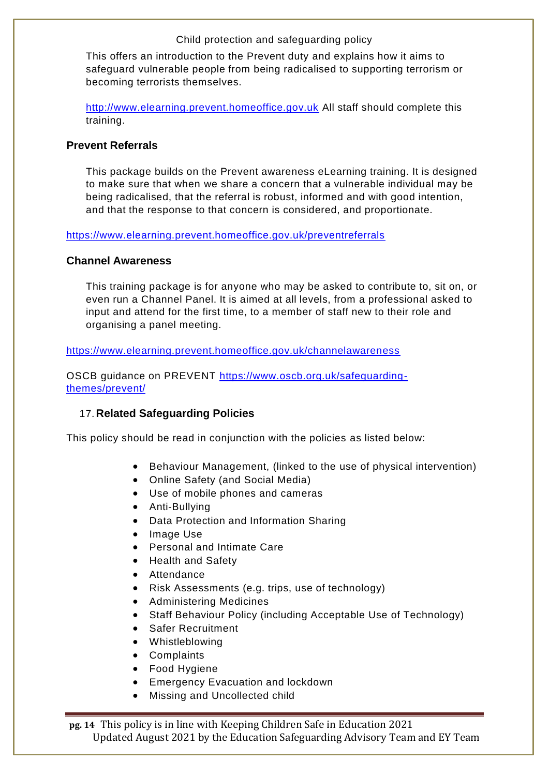This offers an introduction to the Prevent duty and explains how it aims to safeguard vulnerable people from being radicalised to supporting terrorism or becoming terrorists themselves.

[http://www.elearning.prevent.homeoffice.gov.uk](http://www.elearning.prevent.homeoffice.gov.uk/) All staff should complete this training.

## **Prevent Referrals**

This package builds on the Prevent awareness eLearning training. It is designed to make sure that when we share a concern that a vulnerable individual may be being radicalised, that the referral is robust, informed and with good intention, and that the response to that concern is considered, and proportionate.

<https://www.elearning.prevent.homeoffice.gov.uk/preventreferrals>

#### **Channel Awareness**

This training package is for anyone who may be asked to contribute to, sit on, or even run a Channel Panel. It is aimed at all levels, from a professional asked to input and attend for the first time, to a member of staff new to their role and organising a panel meeting.

<https://www.elearning.prevent.homeoffice.gov.uk/channelawareness>

OSCB guidance on PREVENT [https://www.oscb.org.uk/safeguarding](https://www.oscb.org.uk/safeguarding-themes/prevent/)[themes/prevent/](https://www.oscb.org.uk/safeguarding-themes/prevent/)

# 17. **Related Safeguarding Policies**

This policy should be read in conjunction with the policies as listed below:

- Behaviour Management, (linked to the use of physical intervention)
- Online Safety (and Social Media)
- Use of mobile phones and cameras
- Anti-Bullying
- Data Protection and Information Sharing
- Image Use
- Personal and Intimate Care
- Health and Safety
- Attendance
- Risk Assessments (e.g. trips, use of technology)
- Administering Medicines
- Staff Behaviour Policy (including Acceptable Use of Technology)
- Safer Recruitment
- Whistleblowing
- Complaints
- Food Hygiene
- Emergency Evacuation and lockdown
- Missing and Uncollected child

**pg. 14** This policy is in line with Keeping Children Safe in Education 2021 Updated August 2021 by the Education Safeguarding Advisory Team and EY Team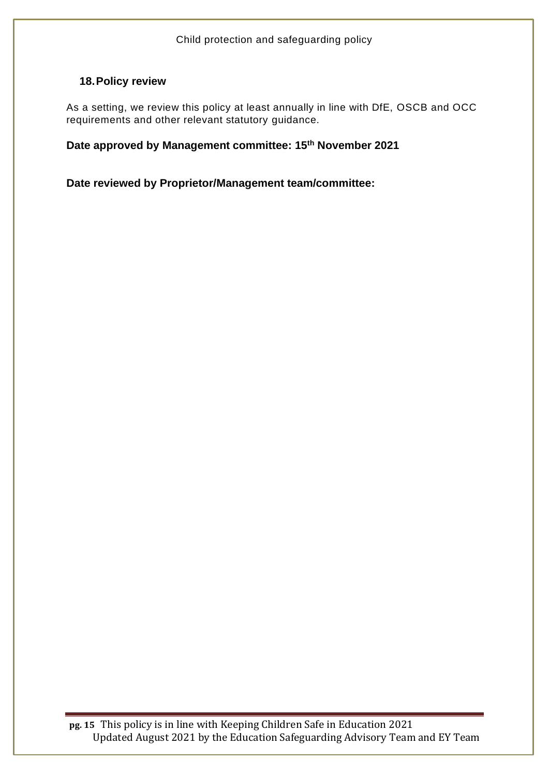# **18.Policy review**

As a setting, we review this policy at least annually in line with DfE, OSCB and OCC requirements and other relevant statutory guidance.

# **Date approved by Management committee: 15th November 2021**

**Date reviewed by Proprietor/Management team/committee:** 

**pg. 15** This policy is in line with Keeping Children Safe in Education 2021 Updated August 2021 by the Education Safeguarding Advisory Team and EY Team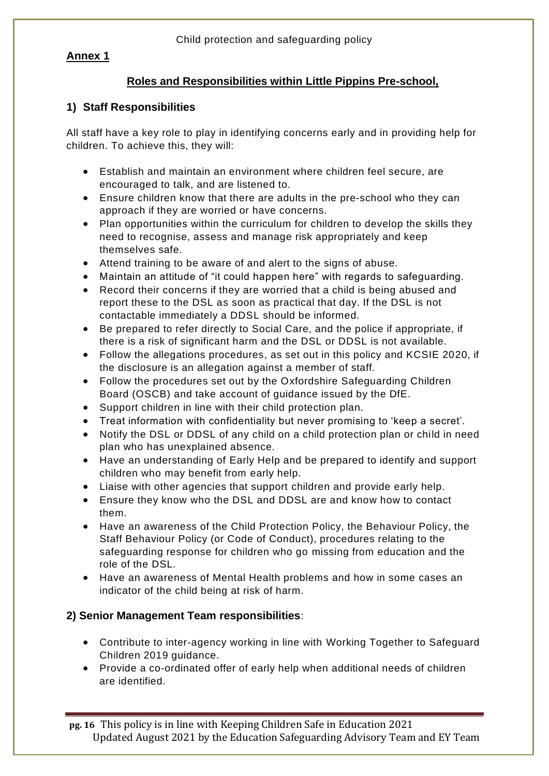# **Annex 1**

# **Roles and Responsibilities within Little Pippins Pre-school,**

#### **1) Staff Responsibilities**

All staff have a key role to play in identifying concerns early and in providing help for children. To achieve this, they will:

- Establish and maintain an environment where children feel secure, are encouraged to talk, and are listened to.
- Ensure children know that there are adults in the pre-school who they can approach if they are worried or have concerns.
- Plan opportunities within the curriculum for children to develop the skills they need to recognise, assess and manage risk appropriately and keep themselves safe.
- Attend training to be aware of and alert to the signs of abuse.
- Maintain an attitude of "it could happen here" with regards to safeguarding.
- Record their concerns if they are worried that a child is being abused and report these to the DSL as soon as practical that day. If the DSL is not contactable immediately a DDSL should be informed.
- Be prepared to refer directly to Social Care, and the police if appropriate, if there is a risk of significant harm and the DSL or DDSL is not available.
- Follow the allegations procedures, as set out in this policy and KCSIE 2020, if the disclosure is an allegation against a member of staff.
- Follow the procedures set out by the Oxfordshire Safeguarding Children Board (OSCB) and take account of guidance issued by the DfE.
- Support children in line with their child protection plan.
- Treat information with confidentiality but never promising to 'keep a secret'.
- Notify the DSL or DDSL of any child on a child protection plan or child in need plan who has unexplained absence.
- Have an understanding of Early Help and be prepared to identify and support children who may benefit from early help.
- Liaise with other agencies that support children and provide early help.
- Ensure they know who the DSL and DDSL are and know how to contact them.
- Have an awareness of the Child Protection Policy, the Behaviour Policy, the Staff Behaviour Policy (or Code of Conduct), procedures relating to the safeguarding response for children who go missing from education and the role of the DSL.
- Have an awareness of Mental Health problems and how in some cases an indicator of the child being at risk of harm.

# **2) Senior Management Team responsibilities**:

- Contribute to inter-agency working in line with Working Together to Safeguard Children 2019 guidance.
- Provide a co-ordinated offer of early help when additional needs of children are identified.

**pg. 16** This policy is in line with Keeping Children Safe in Education 2021 Updated August 2021 by the Education Safeguarding Advisory Team and EY Team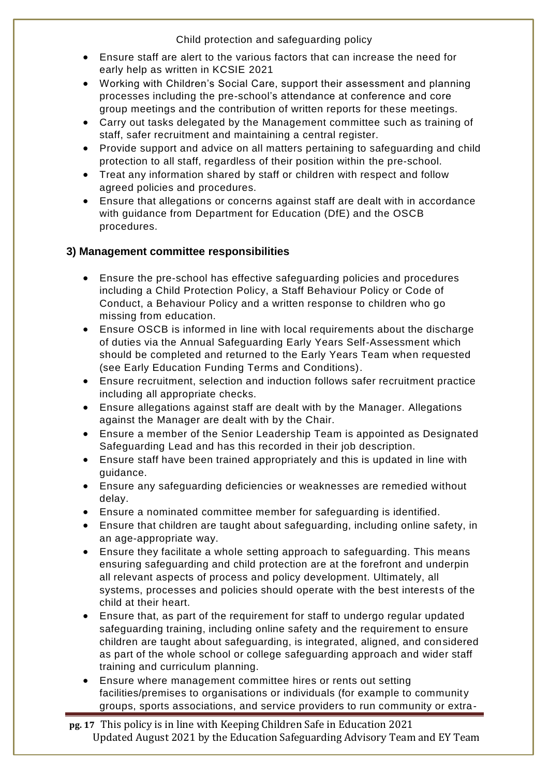- Ensure staff are alert to the various factors that can increase the need for early help as written in KCSIE 2021
- Working with Children's Social Care, support their assessment and planning processes including the pre-school's attendance at conference and core group meetings and the contribution of written reports for these meetings.
- Carry out tasks delegated by the Management committee such as training of staff, safer recruitment and maintaining a central register.
- Provide support and advice on all matters pertaining to safeguarding and child protection to all staff, regardless of their position within the pre-school.
- Treat any information shared by staff or children with respect and follow agreed policies and procedures.
- Ensure that allegations or concerns against staff are dealt with in accordance with guidance from Department for Education (DfE) and the OSCB procedures.

# **3) Management committee responsibilities**

- Ensure the pre-school has effective safeguarding policies and procedures including a Child Protection Policy, a Staff Behaviour Policy or Code of Conduct, a Behaviour Policy and a written response to children who go missing from education.
- Ensure OSCB is informed in line with local requirements about the discharge of duties via the Annual Safeguarding Early Years Self-Assessment which should be completed and returned to the Early Years Team when requested (see Early Education Funding Terms and Conditions).
- Ensure recruitment, selection and induction follows safer recruitment practice including all appropriate checks.
- Ensure allegations against staff are dealt with by the Manager. Allegations against the Manager are dealt with by the Chair.
- Ensure a member of the Senior Leadership Team is appointed as Designated Safeguarding Lead and has this recorded in their job description.
- Ensure staff have been trained appropriately and this is updated in line with guidance.
- Ensure any safeguarding deficiencies or weaknesses are remedied without delay.
- Ensure a nominated committee member for safeguarding is identified.
- Ensure that children are taught about safeguarding, including online safety, in an age-appropriate way.
- Ensure they facilitate a whole setting approach to safeguarding. This means ensuring safeguarding and child protection are at the forefront and underpin all relevant aspects of process and policy development. Ultimately, all systems, processes and policies should operate with the best interests of the child at their heart.
- Ensure that, as part of the requirement for staff to undergo regular updated safeguarding training, including online safety and the requirement to ensure children are taught about safeguarding, is integrated, aligned, and considered as part of the whole school or college safeguarding approach and wider staff training and curriculum planning.
- Ensure where management committee hires or rents out setting facilities/premises to organisations or individuals (for example to community groups, sports associations, and service providers to run community or extra-

**pg. 17** This policy is in line with Keeping Children Safe in Education 2021 Updated August 2021 by the Education Safeguarding Advisory Team and EY Team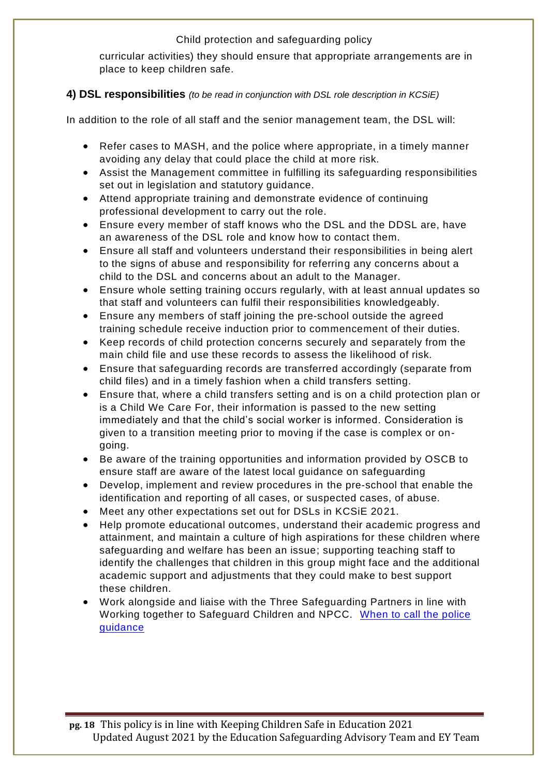curricular activities) they should ensure that appropriate arrangements are in place to keep children safe.

# **4) DSL responsibilities** *(to be read in conjunction with DSL role description in KCSiE)*

In addition to the role of all staff and the senior management team, the DSL will:

- Refer cases to MASH, and the police where appropriate, in a timely manner avoiding any delay that could place the child at more risk.
- Assist the Management committee in fulfilling its safeguarding responsibilities set out in legislation and statutory guidance.
- Attend appropriate training and demonstrate evidence of continuing professional development to carry out the role.
- Ensure every member of staff knows who the DSL and the DDSL are, have an awareness of the DSL role and know how to contact them.
- Ensure all staff and volunteers understand their responsibilities in being alert to the signs of abuse and responsibility for referring any concerns about a child to the DSL and concerns about an adult to the Manager.
- Ensure whole setting training occurs regularly, with at least annual updates so that staff and volunteers can fulfil their responsibilities knowledgeably.
- Ensure any members of staff joining the pre-school outside the agreed training schedule receive induction prior to commencement of their duties.
- Keep records of child protection concerns securely and separately from the main child file and use these records to assess the likelihood of risk.
- Ensure that safeguarding records are transferred accordingly (separate from child files) and in a timely fashion when a child transfers setting.
- Ensure that, where a child transfers setting and is on a child protection plan or is a Child We Care For, their information is passed to the new setting immediately and that the child's social worker is informed. Consideration is given to a transition meeting prior to moving if the case is complex or ongoing.
- Be aware of the training opportunities and information provided by OSCB to ensure staff are aware of the latest local guidance on safeguarding
- Develop, implement and review procedures in the pre-school that enable the identification and reporting of all cases, or suspected cases, of abuse.
- Meet any other expectations set out for DSLs in KCSiE 2021.
- Help promote educational outcomes, understand their academic progress and attainment, and maintain a culture of high aspirations for these children where safeguarding and welfare has been an issue; supporting teaching staff to identify the challenges that children in this group might face and the additional academic support and adjustments that they could make to best support these children.
- Work alongside and liaise with the Three Safeguarding Partners in line with Working together to Safeguard Children and NPCC. [When to call the police](https://www.npcc.police.uk/documents/Children%20and%20Young%20people/When%20to%20call%20the%20police%20guidance%20for%20schools%20and%20colleges.pdf)  [guidance](https://www.npcc.police.uk/documents/Children%20and%20Young%20people/When%20to%20call%20the%20police%20guidance%20for%20schools%20and%20colleges.pdf)

**pg. 18** This policy is in line with Keeping Children Safe in Education 2021 Updated August 2021 by the Education Safeguarding Advisory Team and EY Team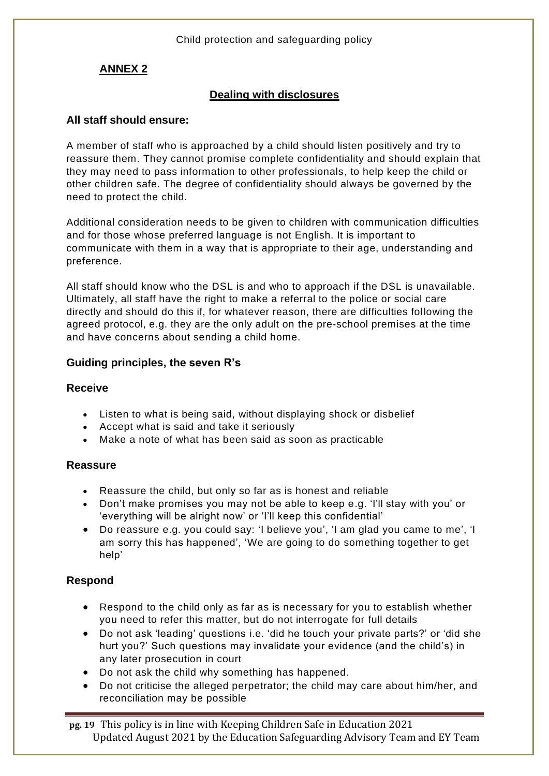# **ANNEX 2**

# **Dealing with disclosures**

#### **All staff should ensure:**

A member of staff who is approached by a child should listen positively and try to reassure them. They cannot promise complete confidentiality and should explain that they may need to pass information to other professionals, to help keep the child or other children safe. The degree of confidentiality should always be governed by the need to protect the child.

Additional consideration needs to be given to children with communication difficulties and for those whose preferred language is not English. It is important to communicate with them in a way that is appropriate to their age, understanding and preference.

All staff should know who the DSL is and who to approach if the DSL is unavailable. Ultimately, all staff have the right to make a referral to the police or social care directly and should do this if, for whatever reason, there are difficulties following the agreed protocol, e.g. they are the only adult on the pre-school premises at the time and have concerns about sending a child home.

## **Guiding principles, the seven R's**

#### **Receive**

- Listen to what is being said, without displaying shock or disbelief
- Accept what is said and take it seriously
- Make a note of what has been said as soon as practicable

#### **Reassure**

- Reassure the child, but only so far as is honest and reliable
- Don't make promises you may not be able to keep e.g. 'I'll stay with you' or 'everything will be alright now' or 'I'll keep this confidential'
- Do reassure e.g. you could say: 'I believe you', 'I am glad you came to me', 'I am sorry this has happened', 'We are going to do something together to get help'

# **Respond**

- Respond to the child only as far as is necessary for you to establish whether you need to refer this matter, but do not interrogate for full details
- Do not ask 'leading' questions i.e. 'did he touch your private parts?' or 'did she hurt you?' Such questions may invalidate your evidence (and the child's) in any later prosecution in court
- Do not ask the child why something has happened.
- Do not criticise the alleged perpetrator; the child may care about him/her, and reconciliation may be possible

**pg. 19** This policy is in line with Keeping Children Safe in Education 2021 Updated August 2021 by the Education Safeguarding Advisory Team and EY Team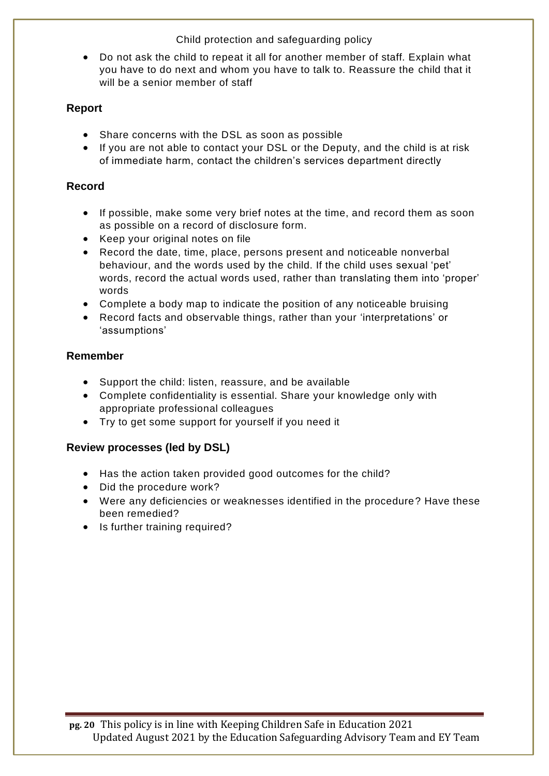• Do not ask the child to repeat it all for another member of staff. Explain what you have to do next and whom you have to talk to. Reassure the child that it will be a senior member of staff

# **Report**

- Share concerns with the DSL as soon as possible
- If you are not able to contact your DSL or the Deputy, and the child is at risk of immediate harm, contact the children's services department directly

# **Record**

- If possible, make some very brief notes at the time, and record them as soon as possible on a record of disclosure form.
- Keep your original notes on file
- Record the date, time, place, persons present and noticeable nonverbal behaviour, and the words used by the child. If the child uses sexual 'pet' words, record the actual words used, rather than translating them into 'proper' words
- Complete a body map to indicate the position of any noticeable bruising
- Record facts and observable things, rather than your 'interpretations' or 'assumptions'

# **Remember**

- Support the child: listen, reassure, and be available
- Complete confidentiality is essential. Share your knowledge only with appropriate professional colleagues
- Try to get some support for yourself if you need it

# **Review processes (led by DSL)**

- Has the action taken provided good outcomes for the child?
- Did the procedure work?
- Were any deficiencies or weaknesses identified in the procedure? Have these been remedied?
- Is further training required?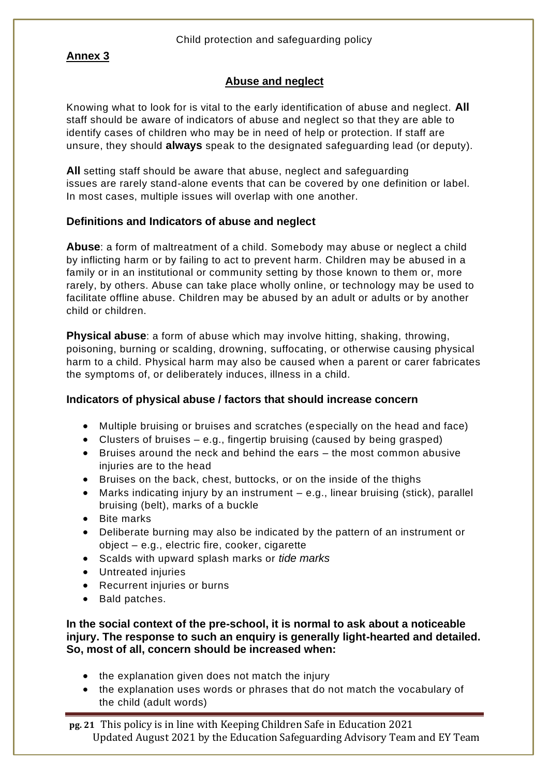# **Annex 3**

# **Abuse and neglect**

Knowing what to look for is vital to the early identification of abuse and neglect. **All** staff should be aware of indicators of abuse and neglect so that they are able to identify cases of children who may be in need of help or protection. If staff are unsure, they should **always** speak to the designated safeguarding lead (or deputy).

**All** setting staff should be aware that abuse, neglect and safeguarding issues are rarely stand-alone events that can be covered by one definition or label. In most cases, multiple issues will overlap with one another.

#### **Definitions and Indicators of abuse and neglect**

**Abuse**: a form of maltreatment of a child. Somebody may abuse or neglect a child by inflicting harm or by failing to act to prevent harm. Children may be abused in a family or in an institutional or community setting by those known to them or, more rarely, by others. Abuse can take place wholly online, or technology may be used to facilitate offline abuse. Children may be abused by an adult or adults or by another child or children.

**Physical abuse**: a form of abuse which may involve hitting, shaking, throwing, poisoning, burning or scalding, drowning, suffocating, or otherwise causing physical harm to a child. Physical harm may also be caused when a parent or carer fabricates the symptoms of, or deliberately induces, illness in a child.

#### **Indicators of physical abuse / factors that should increase concern**

- Multiple bruising or bruises and scratches (especially on the head and face)
- Clusters of bruises e.g., fingertip bruising (caused by being grasped)
- Bruises around the neck and behind the ears the most common abusive injuries are to the head
- Bruises on the back, chest, buttocks, or on the inside of the thighs
- Marks indicating injury by an instrument e.g., linear bruising (stick), parallel bruising (belt), marks of a buckle
- Bite marks
- Deliberate burning may also be indicated by the pattern of an instrument or object – e.g., electric fire, cooker, cigarette
- Scalds with upward splash marks or *tide marks*
- Untreated injuries
- Recurrent injuries or burns
- Bald patches.

**In the social context of the pre-school, it is normal to ask about a noticeable injury. The response to such an enquiry is generally light-hearted and detailed. So, most of all, concern should be increased when:** 

- the explanation given does not match the injury
- the explanation uses words or phrases that do not match the vocabulary of the child (adult words)

**pg. 21** This policy is in line with Keeping Children Safe in Education 2021 Updated August 2021 by the Education Safeguarding Advisory Team and EY Team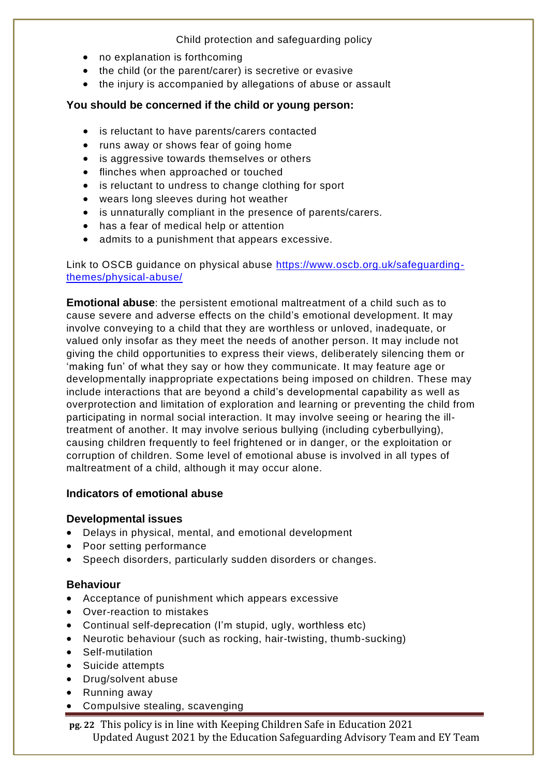- no explanation is forthcoming
- the child (or the parent/carer) is secretive or evasive
- the injury is accompanied by allegations of abuse or assault

# **You should be concerned if the child or young person:**

- is reluctant to have parents/carers contacted
- runs away or shows fear of going home
- is aggressive towards themselves or others
- flinches when approached or touched
- is reluctant to undress to change clothing for sport
- wears long sleeves during hot weather
- is unnaturally compliant in the presence of parents/carers.
- has a fear of medical help or attention
- admits to a punishment that appears excessive.

Link to OSCB guidance on physical abuse [https://www.oscb.org.uk/safeguarding](https://www.oscb.org.uk/safeguarding-themes/physical-abuse/)[themes/physical-abuse/](https://www.oscb.org.uk/safeguarding-themes/physical-abuse/)

**Emotional abuse**: the persistent emotional maltreatment of a child such as to cause severe and adverse effects on the child's emotional development. It may involve conveying to a child that they are worthless or unloved, inadequate, or valued only insofar as they meet the needs of another person. It may include not giving the child opportunities to express their views, deliberately silencing them or 'making fun' of what they say or how they communicate. It may feature age or developmentally inappropriate expectations being imposed on children. These may include interactions that are beyond a child's developmental capability as well as overprotection and limitation of exploration and learning or preventing the child from participating in normal social interaction. It may involve seeing or hearing the illtreatment of another. It may involve serious bullying (including cyberbullying), causing children frequently to feel frightened or in danger, or the exploitation or corruption of children. Some level of emotional abuse is involved in all types of maltreatment of a child, although it may occur alone.

#### **Indicators of emotional abuse**

#### **Developmental issues**

- Delays in physical, mental, and emotional development
- Poor setting performance
- Speech disorders, particularly sudden disorders or changes.

#### **Behaviour**

- Acceptance of punishment which appears excessive
- Over-reaction to mistakes
- Continual self-deprecation (I'm stupid, ugly, worthless etc)
- Neurotic behaviour (such as rocking, hair-twisting, thumb-sucking)
- Self-mutilation
- Suicide attempts
- Drug/solvent abuse
- Running away
- Compulsive stealing, scavenging

**pg. 22** This policy is in line with Keeping Children Safe in Education 2021 Updated August 2021 by the Education Safeguarding Advisory Team and EY Team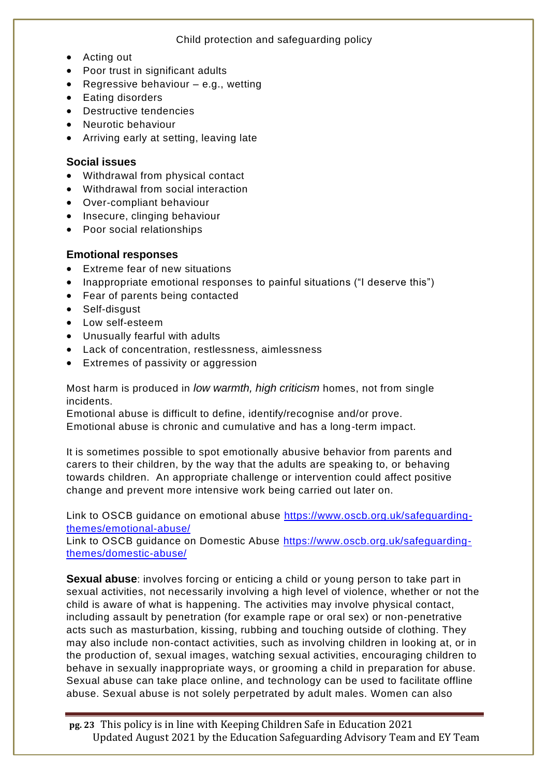- Acting out
- Poor trust in significant adults
- Regressive behaviour e.g., wetting
- Eating disorders
- Destructive tendencies
- Neurotic behaviour
- Arriving early at setting, leaving late

#### **Social issues**

- Withdrawal from physical contact
- Withdrawal from social interaction
- Over-compliant behaviour
- Insecure, clinging behaviour
- Poor social relationships

# **Emotional responses**

- Extreme fear of new situations
- Inappropriate emotional responses to painful situations ("I deserve this")
- Fear of parents being contacted
- Self-disgust
- Low self-esteem
- Unusually fearful with adults
- Lack of concentration, restlessness, aimlessness
- Extremes of passivity or aggression

Most harm is produced in *low warmth, high criticism* homes, not from single incidents.

Emotional abuse is difficult to define, identify/recognise and/or prove. Emotional abuse is chronic and cumulative and has a long-term impact.

It is sometimes possible to spot emotionally abusive behavior from parents and carers to their children, by the way that the adults are speaking to, or behaving towards children. An appropriate challenge or intervention could affect positive change and prevent more intensive work being carried out later on.

Link to OSCB guidance on emotional abuse [https://www.oscb.org.uk/safeguarding](https://www.oscb.org.uk/safeguarding-themes/emotional-abuse/)[themes/emotional-abuse/](https://www.oscb.org.uk/safeguarding-themes/emotional-abuse/)

Link to OSCB guidance on Domestic Abuse [https://www.oscb.org.uk/safeguarding](https://www.oscb.org.uk/safeguarding-themes/domestic-abuse/)[themes/domestic-abuse/](https://www.oscb.org.uk/safeguarding-themes/domestic-abuse/)

**Sexual abuse**: involves forcing or enticing a child or young person to take part in sexual activities, not necessarily involving a high level of violence, whether or not the child is aware of what is happening. The activities may involve physical contact, including assault by penetration (for example rape or oral sex) or non-penetrative acts such as masturbation, kissing, rubbing and touching outside of clothing. They may also include non-contact activities, such as involving children in looking at, or in the production of, sexual images, watching sexual activities, encouraging children to behave in sexually inappropriate ways, or grooming a child in preparation for abuse. Sexual abuse can take place online, and technology can be used to facilitate offline abuse. Sexual abuse is not solely perpetrated by adult males. Women can also

**pg. 23** This policy is in line with Keeping Children Safe in Education 2021 Updated August 2021 by the Education Safeguarding Advisory Team and EY Team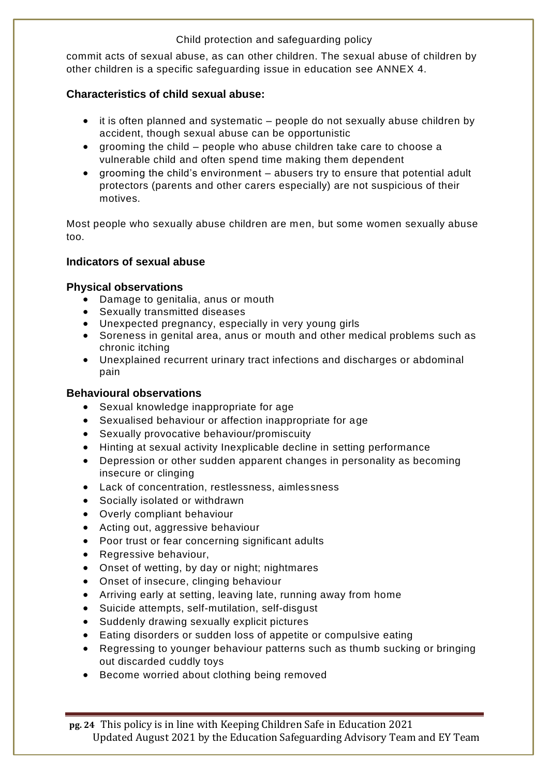commit acts of sexual abuse, as can other children. The sexual abuse of children by other children is a specific safeguarding issue in education see ANNEX 4.

# **Characteristics of child sexual abuse:**

- it is often planned and systematic people do not sexually abuse children by accident, though sexual abuse can be opportunistic
- grooming the child people who abuse children take care to choose a vulnerable child and often spend time making them dependent
- grooming the child's environment abusers try to ensure that potential adult protectors (parents and other carers especially) are not suspicious of their motives.

Most people who sexually abuse children are men, but some women sexually abuse too.

## **Indicators of sexual abuse**

## **Physical observations**

- Damage to genitalia, anus or mouth
- Sexually transmitted diseases
- Unexpected pregnancy, especially in very young girls
- Soreness in genital area, anus or mouth and other medical problems such as chronic itching
- Unexplained recurrent urinary tract infections and discharges or abdominal pain

#### **Behavioural observations**

- Sexual knowledge inappropriate for age
- Sexualised behaviour or affection inappropriate for age
- Sexually provocative behaviour/promiscuity
- Hinting at sexual activity Inexplicable decline in setting performance
- Depression or other sudden apparent changes in personality as becoming insecure or clinging
- Lack of concentration, restlessness, aimlessness
- Socially isolated or withdrawn
- Overly compliant behaviour
- Acting out, aggressive behaviour
- Poor trust or fear concerning significant adults
- Regressive behaviour,
- Onset of wetting, by day or night; nightmares
- Onset of insecure, clinging behaviour
- Arriving early at setting, leaving late, running away from home
- Suicide attempts, self-mutilation, self-disgust
- Suddenly drawing sexually explicit pictures
- Eating disorders or sudden loss of appetite or compulsive eating
- Regressing to younger behaviour patterns such as thumb sucking or bringing out discarded cuddly toys
- Become worried about clothing being removed

**pg. 24** This policy is in line with Keeping Children Safe in Education 2021 Updated August 2021 by the Education Safeguarding Advisory Team and EY Team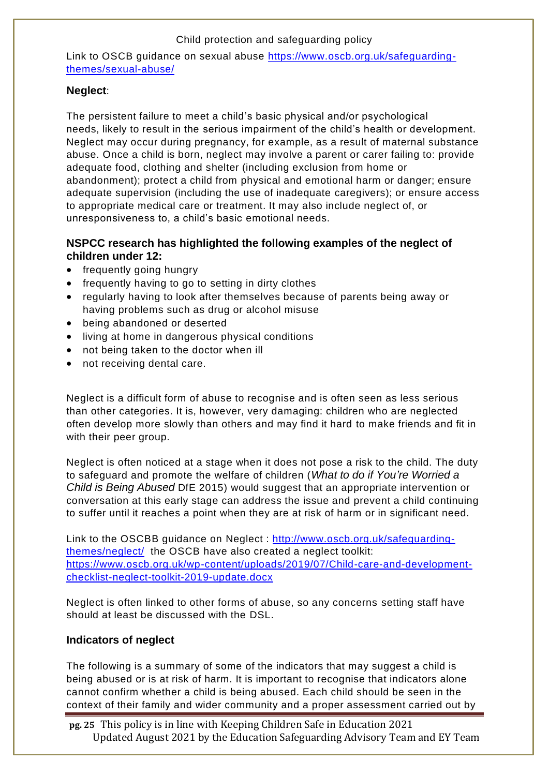Link to OSCB guidance on sexual abuse [https://www.oscb.org.uk/safeguarding](https://www.oscb.org.uk/safeguarding-themes/sexual-abuse/)[themes/sexual-abuse/](https://www.oscb.org.uk/safeguarding-themes/sexual-abuse/)

## **Neglect**:

The persistent failure to meet a child's basic physical and/or psychological needs, likely to result in the serious impairment of the child's health or development. Neglect may occur during pregnancy, for example, as a result of maternal substance abuse. Once a child is born, neglect may involve a parent or carer failing to: provide adequate food, clothing and shelter (including exclusion from home or abandonment); protect a child from physical and emotional harm or danger; ensure adequate supervision (including the use of inadequate caregivers); or ensure access to appropriate medical care or treatment. It may also include neglect of, or unresponsiveness to, a child's basic emotional needs.

## **NSPCC research has highlighted the following examples of the neglect of children under 12:**

- frequently going hungry
- frequently having to go to setting in dirty clothes
- regularly having to look after themselves because of parents being away or having problems such as drug or alcohol misuse
- being abandoned or deserted
- living at home in dangerous physical conditions
- not being taken to the doctor when ill
- not receiving dental care.

Neglect is a difficult form of abuse to recognise and is often seen as less serious than other categories. It is, however, very damaging: children who are neglected often develop more slowly than others and may find it hard to make friends and fit in with their peer group.

Neglect is often noticed at a stage when it does not pose a risk to the child. The duty to safeguard and promote the welfare of children (*What to do if You're Worried a Child is Being Abused* DfE 2015) would suggest that an appropriate intervention or conversation at this early stage can address the issue and prevent a child continuing to suffer until it reaches a point when they are at risk of harm or in significant need.

Link to the OSCBB guidance on Neglect: [http://www.oscb.org.uk/safeguarding](http://www.oscb.org.uk/safeguarding-themes/neglect/)[themes/neglect/](http://www.oscb.org.uk/safeguarding-themes/neglect/) the OSCB have also created a neglect toolkit: [https://www.oscb.org.uk/wp-content/uploads/2019/07/Child-care-and-development](https://www.oscb.org.uk/wp-content/uploads/2019/07/Child-care-and-development-checklist-neglect-toolkit-2019-update.docx)[checklist-neglect-toolkit-2019-update.docx](https://www.oscb.org.uk/wp-content/uploads/2019/07/Child-care-and-development-checklist-neglect-toolkit-2019-update.docx)

Neglect is often linked to other forms of abuse, so any concerns setting staff have should at least be discussed with the DSL.

# **Indicators of neglect**

The following is a summary of some of the indicators that may suggest a child is being abused or is at risk of harm. It is important to recognise that indicators alone cannot confirm whether a child is being abused. Each child should be seen in the context of their family and wider community and a proper assessment carried out by

**pg. 25** This policy is in line with Keeping Children Safe in Education 2021 Updated August 2021 by the Education Safeguarding Advisory Team and EY Team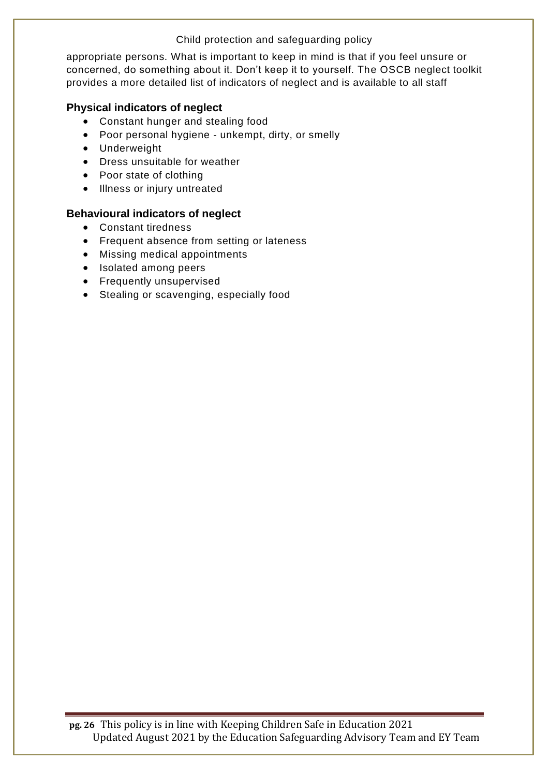appropriate persons. What is important to keep in mind is that if you feel unsure or concerned, do something about it. Don't keep it to yourself. The OSCB neglect toolkit provides a more detailed list of indicators of neglect and is available to all staff

# **Physical indicators of neglect**

- Constant hunger and stealing food
- Poor personal hygiene unkempt, dirty, or smelly
- Underweight
- Dress unsuitable for weather
- Poor state of clothing
- Illness or injury untreated

## **Behavioural indicators of neglect**

- Constant tiredness
- Frequent absence from setting or lateness
- Missing medical appointments
- Isolated among peers
- Frequently unsupervised
- Stealing or scavenging, especially food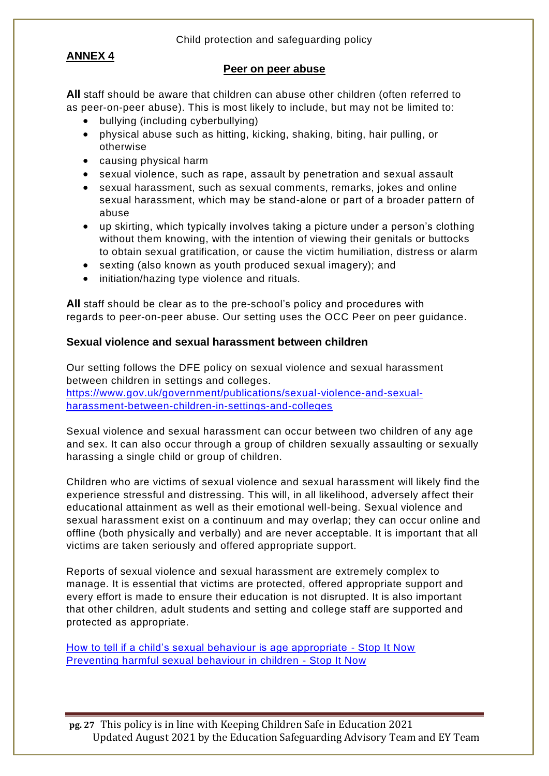# **ANNEX 4**

## **Peer on peer abuse**

**All** staff should be aware that children can abuse other children (often referred to as peer-on-peer abuse). This is most likely to include, but may not be limited to:

- bullying (including cyberbullying)
- physical abuse such as hitting, kicking, shaking, biting, hair pulling, or otherwise
- causing physical harm
- sexual violence, such as rape, assault by penetration and sexual assault
- sexual harassment, such as sexual comments, remarks, jokes and online sexual harassment, which may be stand-alone or part of a broader pattern of abuse
- up skirting, which typically involves taking a picture under a person's clothing without them knowing, with the intention of viewing their genitals or buttocks to obtain sexual gratification, or cause the victim humiliation, distress or alarm
- sexting (also known as youth produced sexual imagery); and
- initiation/hazing type violence and rituals.

**All** staff should be clear as to the pre-school's policy and procedures with regards to peer-on-peer abuse. Our setting uses the OCC Peer on peer guidance.

## **Sexual violence and sexual harassment between children**

Our setting follows the DFE policy on sexual violence and sexual harassment between children in settings and colleges. [https://www.gov.uk/government/publications/sexual-violence-and-sexual](https://www.gov.uk/government/publications/sexual-violence-and-sexual-harassment-between-children-in-schools-and-colleges)[harassment-between-children-in-settings-and-colleges](https://www.gov.uk/government/publications/sexual-violence-and-sexual-harassment-between-children-in-schools-and-colleges)

Sexual violence and sexual harassment can occur between two children of any age and sex. It can also occur through a group of children sexually assaulting or sexually harassing a single child or group of children.

Children who are victims of sexual violence and sexual harassment will likely find the experience stressful and distressing. This will, in all likelihood, adversely affect their educational attainment as well as their emotional well-being. Sexual violence and sexual harassment exist on a continuum and may overlap; they can occur online and offline (both physically and verbally) and are never acceptable. It is important that all victims are taken seriously and offered appropriate support.

Reports of sexual violence and sexual harassment are extremely complex to manage. It is essential that victims are protected, offered appropriate support and every effort is made to ensure their education is not disrupted. It is also important that other children, adult students and setting and college staff are supported and protected as appropriate.

[How to tell if a child's sexual behaviour is age appropriate -](https://www.stopitnow.org.uk/concerned-about-a-child-or-young-persons-sexual-behaviour/how-to-tell-if-a-childs-sexual-behaviour-is-age-appropriate/) Stop It Now [Preventing harmful sexual behaviour in children -](https://www.stopitnow.org.uk/concerned-about-a-child-or-young-persons-sexual-behaviour/preventing-harmful-sexual-behaviour/) Stop It Now

**pg. 27** This policy is in line with Keeping Children Safe in Education 2021 Updated August 2021 by the Education Safeguarding Advisory Team and EY Team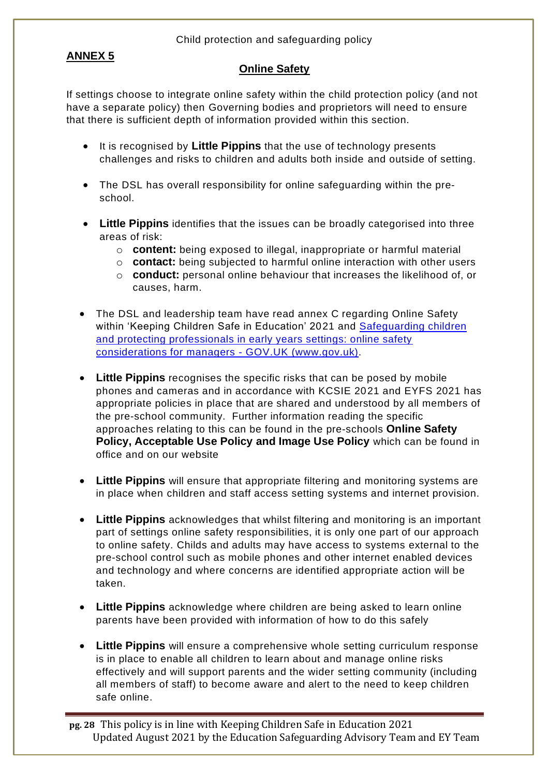# **ANNEX 5**

# **Online Safety**

If settings choose to integrate online safety within the child protection policy (and not have a separate policy) then Governing bodies and proprietors will need to ensure that there is sufficient depth of information provided within this section.

- It is recognised by **Little Pippins** that the use of technology presents challenges and risks to children and adults both inside and outside of setting.
- The DSL has overall responsibility for online safeguarding within the preschool.
- **Little Pippins** identifies that the issues can be broadly categorised into three areas of risk:
	- o **content:** being exposed to illegal, inappropriate or harmful material
	- o **contact:** being subjected to harmful online interaction with other users
	- o **conduct:** personal online behaviour that increases the likelihood of, or causes, harm.
- The DSL and leadership team have read annex C regarding Online Safety within 'Keeping Children Safe in Education' 2021 and Safeguarding children [and protecting professionals in early years settings: online safety](https://www.gov.uk/government/publications/safeguarding-children-and-protecting-professionals-in-early-years-settings-online-safety-considerations/safeguarding-children-and-protecting-professionals-in-early-years-settings-online-safety-considerations-for-managers?utm_campaign=874874_Safeguarding%20children%20and%20protecting%20professionals%20in%20early%20years%20settings%3A%20online%20safety%20considerations&utm_medium=email&utm_source=dotmailer&dm_i=3WYE,IR22,4VYPRG,20WL7,1)  [considerations for managers -](https://www.gov.uk/government/publications/safeguarding-children-and-protecting-professionals-in-early-years-settings-online-safety-considerations/safeguarding-children-and-protecting-professionals-in-early-years-settings-online-safety-considerations-for-managers?utm_campaign=874874_Safeguarding%20children%20and%20protecting%20professionals%20in%20early%20years%20settings%3A%20online%20safety%20considerations&utm_medium=email&utm_source=dotmailer&dm_i=3WYE,IR22,4VYPRG,20WL7,1) GOV.UK (www.gov.uk).
- **Little Pippins** recognises the specific risks that can be posed by mobile phones and cameras and in accordance with KCSIE 2021 and EYFS 2021 has appropriate policies in place that are shared and understood by all members of the pre-school community. Further information reading the specific approaches relating to this can be found in the pre-schools **Online Safety Policy, Acceptable Use Policy and Image Use Policy** which can be found in office and on our website
- **Little Pippins** will ensure that appropriate filtering and monitoring systems are in place when children and staff access setting systems and internet provision.
- **Little Pippins** acknowledges that whilst filtering and monitoring is an important part of settings online safety responsibilities, it is only one part of our approach to online safety. Childs and adults may have access to systems external to the pre-school control such as mobile phones and other internet enabled devices and technology and where concerns are identified appropriate action will be taken.
- **Little Pippins** acknowledge where children are being asked to learn online parents have been provided with information of how to do this safely
- **Little Pippins** will ensure a comprehensive whole setting curriculum response is in place to enable all children to learn about and manage online risks effectively and will support parents and the wider setting community (including all members of staff) to become aware and alert to the need to keep children safe online.

**pg. 28** This policy is in line with Keeping Children Safe in Education 2021 Updated August 2021 by the Education Safeguarding Advisory Team and EY Team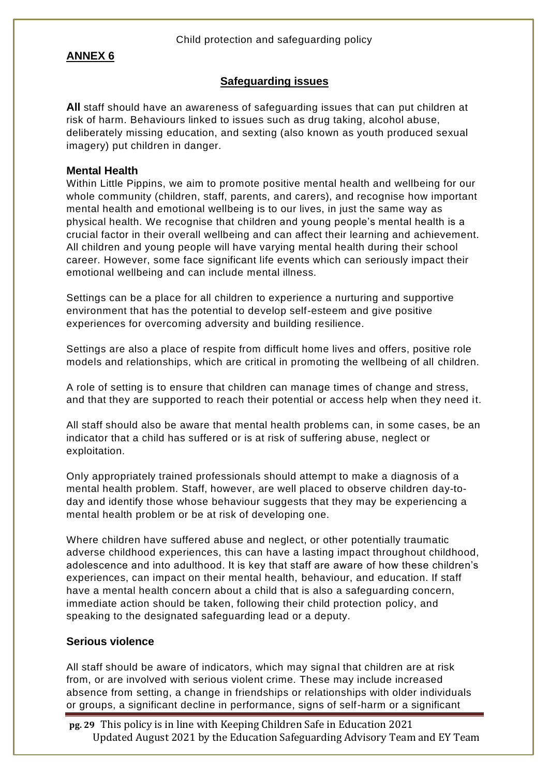# **ANNEX 6**

# **Safeguarding issues**

**All** staff should have an awareness of safeguarding issues that can put children at risk of harm. Behaviours linked to issues such as drug taking, alcohol abuse, deliberately missing education, and sexting (also known as youth produced sexual imagery) put children in danger.

#### **Mental Health**

Within Little Pippins, we aim to promote positive mental health and wellbeing for our whole community (children, staff, parents, and carers), and recognise how important mental health and emotional wellbeing is to our lives, in just the same way as physical health. We recognise that children and young people's mental health is a crucial factor in their overall wellbeing and can affect their learning and achievement. All children and young people will have varying mental health during their school career. However, some face significant life events which can seriously impact their emotional wellbeing and can include mental illness.

Settings can be a place for all children to experience a nurturing and supportive environment that has the potential to develop self-esteem and give positive experiences for overcoming adversity and building resilience.

Settings are also a place of respite from difficult home lives and offers, positive role models and relationships, which are critical in promoting the wellbeing of all children.

A role of setting is to ensure that children can manage times of change and stress, and that they are supported to reach their potential or access help when they need it.

All staff should also be aware that mental health problems can, in some cases, be an indicator that a child has suffered or is at risk of suffering abuse, neglect or exploitation.

Only appropriately trained professionals should attempt to make a diagnosis of a mental health problem. Staff, however, are well placed to observe children day-today and identify those whose behaviour suggests that they may be experiencing a mental health problem or be at risk of developing one.

Where children have suffered abuse and neglect, or other potentially traumatic adverse childhood experiences, this can have a lasting impact throughout childhood, adolescence and into adulthood. It is key that staff are aware of how these children's experiences, can impact on their mental health, behaviour, and education. If staff have a mental health concern about a child that is also a safeguarding concern, immediate action should be taken, following their child protection policy, and speaking to the designated safeguarding lead or a deputy.

#### **Serious violence**

All staff should be aware of indicators, which may signal that children are at risk from, or are involved with serious violent crime. These may include increased absence from setting, a change in friendships or relationships with older individuals or groups, a significant decline in performance, signs of self-harm or a significant

**pg. 29** This policy is in line with Keeping Children Safe in Education 2021 Updated August 2021 by the Education Safeguarding Advisory Team and EY Team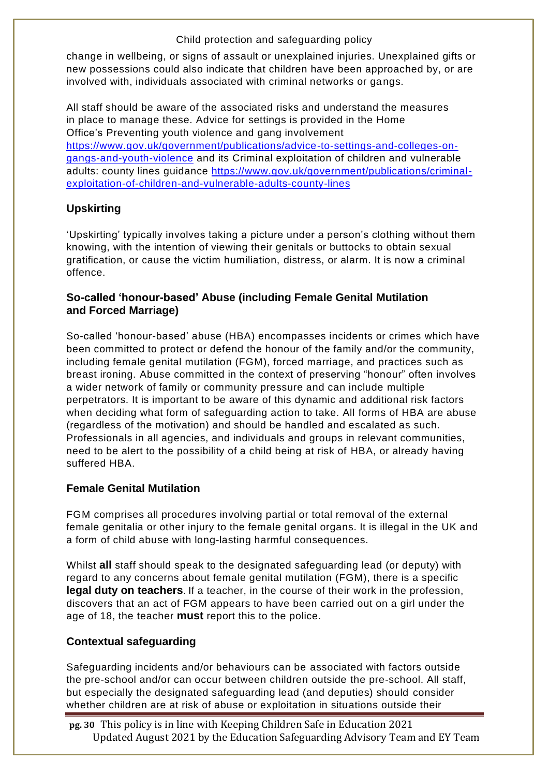change in wellbeing, or signs of assault or unexplained injuries. Unexplained gifts or new possessions could also indicate that children have been approached by, or are involved with, individuals associated with criminal networks or gangs.

All staff should be aware of the associated risks and understand the measures in place to manage these. Advice for settings is provided in the Home Office's Preventing youth violence and gang involvement [https://www.gov.uk/government/publications/advice-to-settings-and-colleges-on](https://www.gov.uk/government/publications/advice-to-schools-and-colleges-on-gangs-and-youth-violence)[gangs-and-youth-violence](https://www.gov.uk/government/publications/advice-to-schools-and-colleges-on-gangs-and-youth-violence) and its Criminal exploitation of children and vulnerable adults: county lines guidance [https://www.gov.uk/government/publications/criminal](https://www.gov.uk/government/publications/criminal-exploitation-of-children-and-vulnerable-adults-county-lines)[exploitation-of-children-and-vulnerable-adults-county-lines](https://www.gov.uk/government/publications/criminal-exploitation-of-children-and-vulnerable-adults-county-lines)

# **Upskirting**

'Upskirting' typically involves taking a picture under a person's clothing without them knowing, with the intention of viewing their genitals or buttocks to obtain sexual gratification, or cause the victim humiliation, distress, or alarm. It is now a criminal offence.

# **So-called 'honour-based' Abuse (including Female Genital Mutilation and Forced Marriage)**

So-called 'honour-based' abuse (HBA) encompasses incidents or crimes which have been committed to protect or defend the honour of the family and/or the community, including female genital mutilation (FGM), forced marriage, and practices such as breast ironing. Abuse committed in the context of preserving "honour" often involves a wider network of family or community pressure and can include multiple perpetrators. It is important to be aware of this dynamic and additional risk factors when deciding what form of safeguarding action to take. All forms of HBA are abuse (regardless of the motivation) and should be handled and escalated as such. Professionals in all agencies, and individuals and groups in relevant communities, need to be alert to the possibility of a child being at risk of HBA, or already having suffered HBA.

# **Female Genital Mutilation**

FGM comprises all procedures involving partial or total removal of the external female genitalia or other injury to the female genital organs. It is illegal in the UK and a form of child abuse with long-lasting harmful consequences.

Whilst **all** staff should speak to the designated safeguarding lead (or deputy) with regard to any concerns about female genital mutilation (FGM), there is a specific **legal duty on teachers**. If a teacher, in the course of their work in the profession, discovers that an act of FGM appears to have been carried out on a girl under the age of 18, the teacher **must** report this to the police.

# **Contextual safeguarding**

Safeguarding incidents and/or behaviours can be associated with factors outside the pre-school and/or can occur between children outside the pre-school. All staff, but especially the designated safeguarding lead (and deputies) should consider whether children are at risk of abuse or exploitation in situations outside their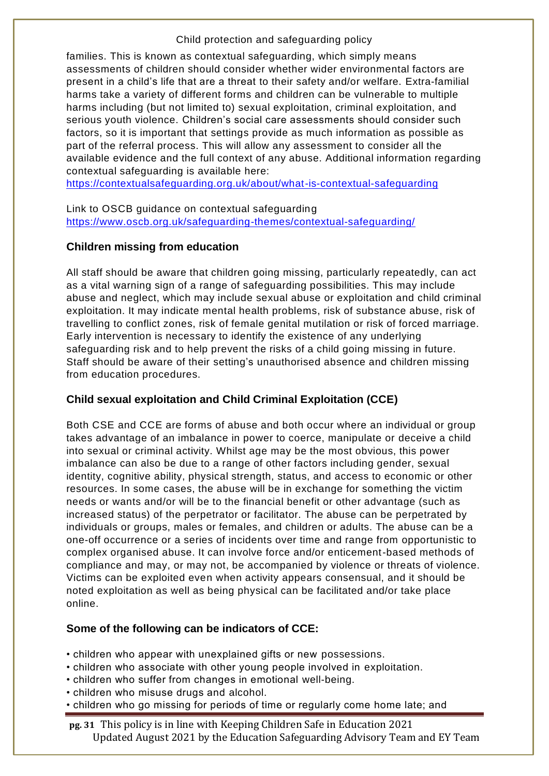families. This is known as contextual safeguarding, which simply means assessments of children should consider whether wider environmental factors are present in a child's life that are a threat to their safety and/or welfare. Extra-familial harms take a variety of different forms and children can be vulnerable to multiple harms including (but not limited to) sexual exploitation, criminal exploitation, and serious youth violence. Children's social care assessments should consider such factors, so it is important that settings provide as much information as possible as part of the referral process. This will allow any assessment to consider all the available evidence and the full context of any abuse. Additional information regarding contextual safeguarding is available here:

<https://contextualsafeguarding.org.uk/about/what-is-contextual-safeguarding>

#### Link to OSCB guidance on contextual safeguarding <https://www.oscb.org.uk/safeguarding-themes/contextual-safeguarding/>

## **Children missing from education**

All staff should be aware that children going missing, particularly repeatedly, can act as a vital warning sign of a range of safeguarding possibilities. This may include abuse and neglect, which may include sexual abuse or exploitation and child criminal exploitation. It may indicate mental health problems, risk of substance abuse, risk of travelling to conflict zones, risk of female genital mutilation or risk of forced marriage. Early intervention is necessary to identify the existence of any underlying safeguarding risk and to help prevent the risks of a child going missing in future. Staff should be aware of their setting's unauthorised absence and children missing from education procedures.

# **Child sexual exploitation and Child Criminal Exploitation (CCE)**

Both CSE and CCE are forms of abuse and both occur where an individual or group takes advantage of an imbalance in power to coerce, manipulate or deceive a child into sexual or criminal activity. Whilst age may be the most obvious, this power imbalance can also be due to a range of other factors including gender, sexual identity, cognitive ability, physical strength, status, and access to economic or other resources. In some cases, the abuse will be in exchange for something the victim needs or wants and/or will be to the financial benefit or other advantage (such as increased status) of the perpetrator or facilitator. The abuse can be perpetrated by individuals or groups, males or females, and children or adults. The abuse can be a one-off occurrence or a series of incidents over time and range from opportunistic to complex organised abuse. It can involve force and/or enticement-based methods of compliance and may, or may not, be accompanied by violence or threats of violence. Victims can be exploited even when activity appears consensual, and it should be noted exploitation as well as being physical can be facilitated and/or take place online.

# **Some of the following can be indicators of CCE:**

- children who appear with unexplained gifts or new possessions.
- children who associate with other young people involved in exploitation.
- children who suffer from changes in emotional well-being.
- children who misuse drugs and alcohol.
- children who go missing for periods of time or regularly come home late; and

#### **pg. 31** This policy is in line with Keeping Children Safe in Education 2021 Updated August 2021 by the Education Safeguarding Advisory Team and EY Team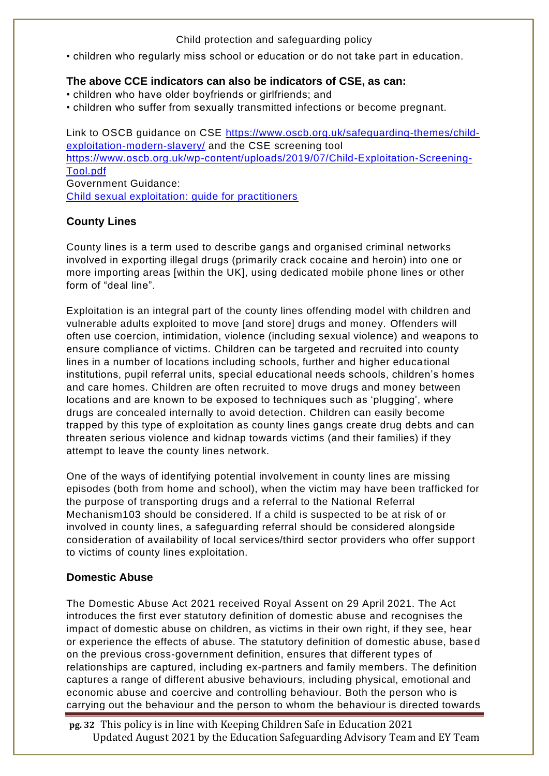• children who regularly miss school or education or do not take part in education.

# **The above CCE indicators can also be indicators of CSE, as can:**

- children who have older boyfriends or girlfriends; and
- children who suffer from sexually transmitted infections or become pregnant.

Link to OSCB guidance on CSE [https://www.oscb.org.uk/safeguarding-themes/child](https://www.oscb.org.uk/safeguarding-themes/child-exploitation-modern-slavery/)[exploitation-modern-slavery/](https://www.oscb.org.uk/safeguarding-themes/child-exploitation-modern-slavery/) and the CSE screening tool [https://www.oscb.org.uk/wp-content/uploads/2019/07/Child-Exploitation-Screening-](https://www.oscb.org.uk/wp-content/uploads/2019/07/Child-Exploitation-Screening-Tool.pdf)[Tool.pdf](https://www.oscb.org.uk/wp-content/uploads/2019/07/Child-Exploitation-Screening-Tool.pdf) Government Guidance: [Child sexual exploitation: guide for practitioners](https://www.gov.uk/government/publications/child-sexual-exploitation-definition-and-guide-for-practitioners)

# **County Lines**

County lines is a term used to describe gangs and organised criminal networks involved in exporting illegal drugs (primarily crack cocaine and heroin) into one or more importing areas [within the UK], using dedicated mobile phone lines or other form of "deal line".

Exploitation is an integral part of the county lines offending model with children and vulnerable adults exploited to move [and store] drugs and money. Offenders will often use coercion, intimidation, violence (including sexual violence) and weapons to ensure compliance of victims. Children can be targeted and recruited into county lines in a number of locations including schools, further and higher educational institutions, pupil referral units, special educational needs schools, children's homes and care homes. Children are often recruited to move drugs and money between locations and are known to be exposed to techniques such as 'plugging', where drugs are concealed internally to avoid detection. Children can easily become trapped by this type of exploitation as county lines gangs create drug debts and can threaten serious violence and kidnap towards victims (and their families) if they attempt to leave the county lines network.

One of the ways of identifying potential involvement in county lines are missing episodes (both from home and school), when the victim may have been trafficked for the purpose of transporting drugs and a referral to the National Referral Mechanism103 should be considered. If a child is suspected to be at risk of or involved in county lines, a safeguarding referral should be considered alongside consideration of availability of local services/third sector providers who offer support to victims of county lines exploitation.

# **Domestic Abuse**

The Domestic Abuse Act 2021 received Royal Assent on 29 April 2021. The Act introduces the first ever statutory definition of domestic abuse and recognises the impact of domestic abuse on children, as victims in their own right, if they see, hear or experience the effects of abuse. The statutory definition of domestic abuse, base d on the previous cross-government definition, ensures that different types of relationships are captured, including ex-partners and family members. The definition captures a range of different abusive behaviours, including physical, emotional and economic abuse and coercive and controlling behaviour. Both the person who is carrying out the behaviour and the person to whom the behaviour is directed towards

**pg. 32** This policy is in line with Keeping Children Safe in Education 2021 Updated August 2021 by the Education Safeguarding Advisory Team and EY Team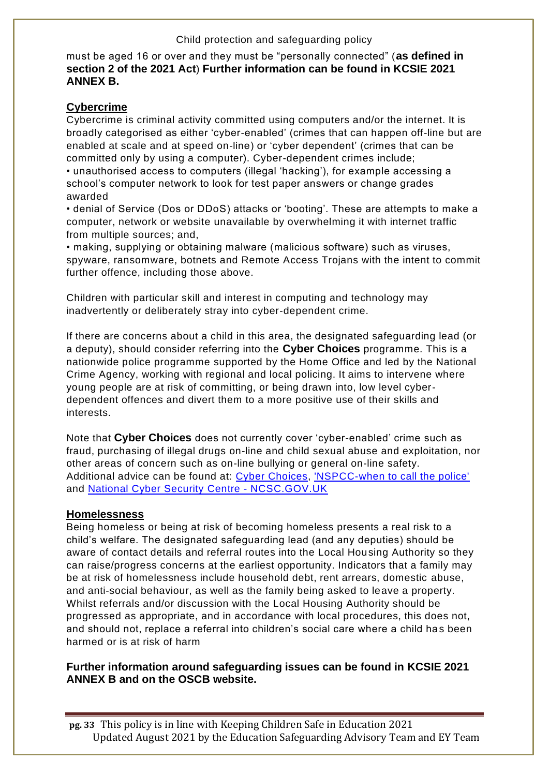#### must be aged 16 or over and they must be "personally connected" (**as defined in section 2 of the 2021 Act**) **Further information can be found in KCSIE 2021 ANNEX B.**

# **Cybercrime**

Cybercrime is criminal activity committed using computers and/or the internet. It is broadly categorised as either 'cyber-enabled' (crimes that can happen off-line but are enabled at scale and at speed on-line) or 'cyber dependent' (crimes that can be committed only by using a computer). Cyber-dependent crimes include; • unauthorised access to computers (illegal 'hacking'), for example accessing a school's computer network to look for test paper answers or change grades awarded

• denial of Service (Dos or DDoS) attacks or 'booting'. These are attempts to make a computer, network or website unavailable by overwhelming it with internet traffic from multiple sources; and,

• making, supplying or obtaining malware (malicious software) such as viruses, spyware, ransomware, botnets and Remote Access Trojans with the intent to commit further offence, including those above.

Children with particular skill and interest in computing and technology may inadvertently or deliberately stray into cyber-dependent crime.

If there are concerns about a child in this area, the designated safeguarding lead (or a deputy), should consider referring into the **Cyber Choices** programme. This is a nationwide police programme supported by the Home Office and led by the National Crime Agency, working with regional and local policing. It aims to intervene where young people are at risk of committing, or being drawn into, low level cyberdependent offences and divert them to a more positive use of their skills and interests.

Note that **Cyber Choices** does not currently cover 'cyber-enabled' crime such as fraud, purchasing of illegal drugs on-line and child sexual abuse and exploitation, nor other areas of concern such as on-line bullying or general on-line safety. Additional advice can be found at: [Cyber Choices,](http://www.cyberchoices.uk/) ['NSPCC-when to call the police'](https://www.npcc.police.uk/documents/Children%20and%20Young%20people/When%20to%20call%20the%20police%20guidance%20for%20schools%20and%20colleges.pdf) and [National Cyber Security Centre -](https://www.ncsc.gov.uk/) NCSC.GOV.UK

#### **Homelessness**

Being homeless or being at risk of becoming homeless presents a real risk to a child's welfare. The designated safeguarding lead (and any deputies) should be aware of contact details and referral routes into the Local Housing Authority so they can raise/progress concerns at the earliest opportunity. Indicators that a family may be at risk of homelessness include household debt, rent arrears, domestic abuse, and anti-social behaviour, as well as the family being asked to leave a property. Whilst referrals and/or discussion with the Local Housing Authority should be progressed as appropriate, and in accordance with local procedures, this does not, and should not, replace a referral into children's social care where a child has been harmed or is at risk of harm

## **Further information around safeguarding issues can be found in KCSIE 2021 ANNEX B and on the OSCB website.**

**pg. 33** This policy is in line with Keeping Children Safe in Education 2021 Updated August 2021 by the Education Safeguarding Advisory Team and EY Team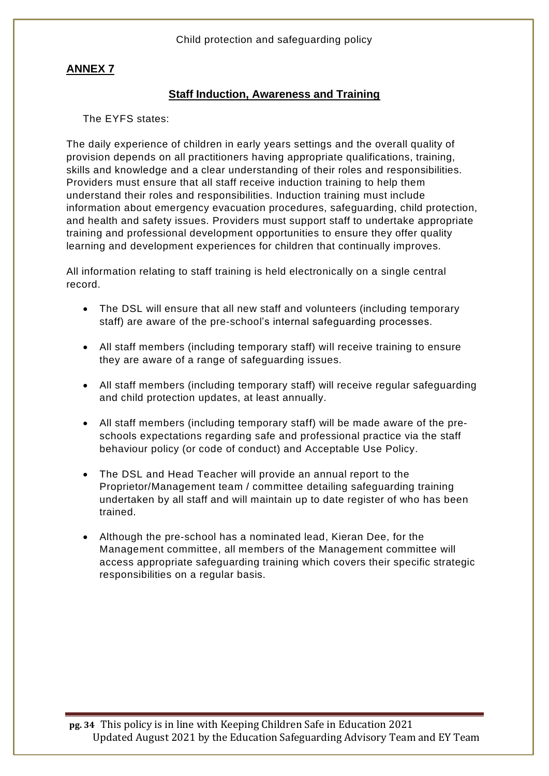# **ANNEX 7**

# **Staff Induction, Awareness and Training**

The EYFS states:

The daily experience of children in early years settings and the overall quality of provision depends on all practitioners having appropriate qualifications, training, skills and knowledge and a clear understanding of their roles and responsibilities. Providers must ensure that all staff receive induction training to help them understand their roles and responsibilities. Induction training must include information about emergency evacuation procedures, safeguarding, child protection, and health and safety issues. Providers must support staff to undertake appropriate training and professional development opportunities to ensure they offer quality learning and development experiences for children that continually improves.

All information relating to staff training is held electronically on a single central record.

- The DSL will ensure that all new staff and volunteers (including temporary staff) are aware of the pre-school's internal safeguarding processes.
- All staff members (including temporary staff) will receive training to ensure they are aware of a range of safeguarding issues.
- All staff members (including temporary staff) will receive regular safeguarding and child protection updates, at least annually.
- All staff members (including temporary staff) will be made aware of the preschools expectations regarding safe and professional practice via the staff behaviour policy (or code of conduct) and Acceptable Use Policy.
- The DSL and Head Teacher will provide an annual report to the Proprietor/Management team / committee detailing safeguarding training undertaken by all staff and will maintain up to date register of who has been trained.
- Although the pre-school has a nominated lead, Kieran Dee, for the Management committee, all members of the Management committee will access appropriate safeguarding training which covers their specific strategic responsibilities on a regular basis.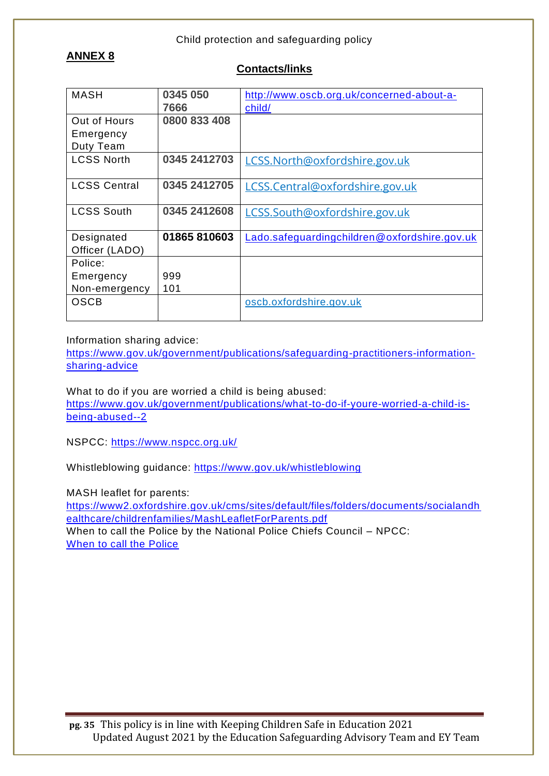# **ANNEX 8**

# **Contacts/links**

| <b>MASH</b>         | 0345 050     | http://www.oscb.org.uk/concerned-about-a-    |
|---------------------|--------------|----------------------------------------------|
|                     | 7666         | child/                                       |
| Out of Hours        | 0800 833 408 |                                              |
| Emergency           |              |                                              |
| Duty Team           |              |                                              |
| <b>LCSS North</b>   | 0345 2412703 | LCSS.North@oxfordshire.gov.uk                |
|                     |              |                                              |
| <b>LCSS Central</b> | 0345 2412705 | LCSS.Central@oxfordshire.gov.uk              |
|                     |              |                                              |
| <b>LCSS South</b>   | 0345 2412608 | LCSS.South@oxfordshire.gov.uk                |
|                     |              |                                              |
| Designated          | 01865810603  | Lado.safeguardingchildren@oxfordshire.gov.uk |
| Officer (LADO)      |              |                                              |
| Police:             |              |                                              |
| Emergency           | 999          |                                              |
| Non-emergency       | 101          |                                              |
| OSCB                |              | oscb.oxfordshire.gov.uk                      |
|                     |              |                                              |

Information sharing advice:

[https://www.gov.uk/government/publications/safeguarding-practitioners-information](https://www.gov.uk/government/publications/safeguarding-practitioners-information-sharing-advice)[sharing-advice](https://www.gov.uk/government/publications/safeguarding-practitioners-information-sharing-advice)

What to do if you are worried a child is being abused: [https://www.gov.uk/government/publications/what-to-do-if-youre-worried-a-child-is](https://www.gov.uk/government/publications/what-to-do-if-youre-worried-a-child-is-being-abused--2)[being-abused--2](https://www.gov.uk/government/publications/what-to-do-if-youre-worried-a-child-is-being-abused--2)

NSPCC:<https://www.nspcc.org.uk/>

Whistleblowing guidance:<https://www.gov.uk/whistleblowing>

MASH leaflet for parents:

[https://www2.oxfordshire.gov.uk/cms/sites/default/files/folders/documents/socialandh](https://www2.oxfordshire.gov.uk/cms/sites/default/files/folders/documents/socialandhealthcare/childrenfamilies/MashLeafletForParents.pdf) [ealthcare/childrenfamilies/MashLeafletForParents.pdf](https://www2.oxfordshire.gov.uk/cms/sites/default/files/folders/documents/socialandhealthcare/childrenfamilies/MashLeafletForParents.pdf)

When to call the Police by the National Police Chiefs Council – NPCC: [When to call the Police](https://www.npcc.police.uk/documents/Children%20and%20Young%20people/When%20to%20call%20the%20police%20guidance%20for%20schools%20and%20colleges.pdf)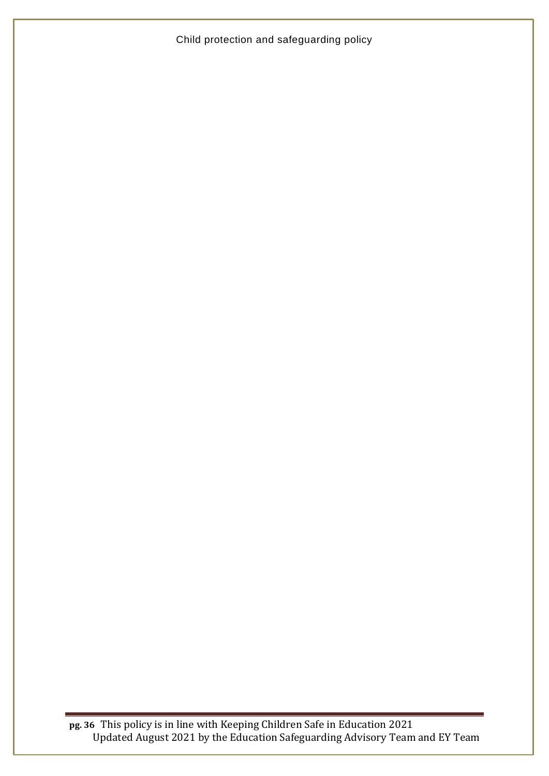**pg. 36** This policy is in line with Keeping Children Safe in Education 2021 Updated August 2021 by the Education Safeguarding Advisory Team and EY Team